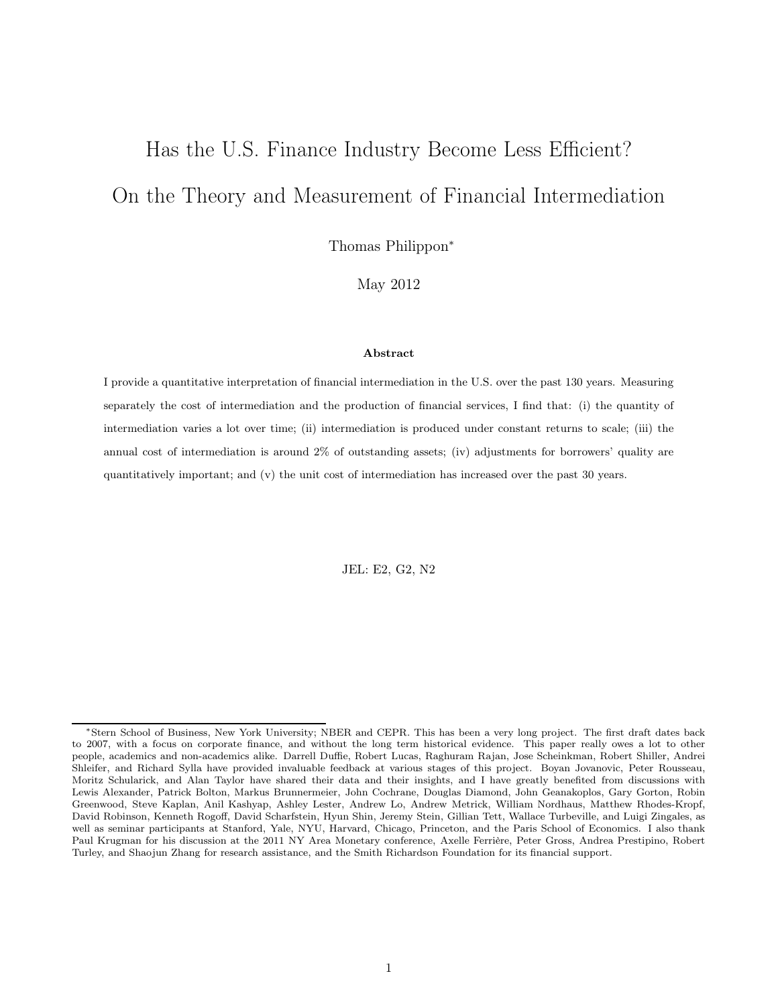# Has the U.S. Finance Industry Become Less Efficient? On the Theory and Measurement of Financial Intermediation

Thomas Philippon<sup>∗</sup>

May 2012

#### Abstract

I provide a quantitative interpretation of financial intermediation in the U.S. over the past 130 years. Measuring separately the cost of intermediation and the production of financial services, I find that: (i) the quantity of intermediation varies a lot over time; (ii) intermediation is produced under constant returns to scale; (iii) the annual cost of intermediation is around 2% of outstanding assets; (iv) adjustments for borrowers' quality are quantitatively important; and (v) the unit cost of intermediation has increased over the past 30 years.

JEL: E2, G2, N2

<sup>∗</sup>Stern School of Business, New York University; NBER and CEPR. This has been a very long project. The first draft dates back to 2007, with a focus on corporate finance, and without the long term historical evidence. This paper really owes a lot to other people, academics and non-academics alike. Darrell Duffie, Robert Lucas, Raghuram Rajan, Jose Scheinkman, Robert Shiller, Andrei Shleifer, and Richard Sylla have provided invaluable feedback at various stages of this project. Boyan Jovanovic, Peter Rousseau, Moritz Schularick, and Alan Taylor have shared their data and their insights, and I have greatly benefited from discussions with Lewis Alexander, Patrick Bolton, Markus Brunnermeier, John Cochrane, Douglas Diamond, John Geanakoplos, Gary Gorton, Robin Greenwood, Steve Kaplan, Anil Kashyap, Ashley Lester, Andrew Lo, Andrew Metrick, William Nordhaus, Matthew Rhodes-Kropf, David Robinson, Kenneth Rogoff, David Scharfstein, Hyun Shin, Jeremy Stein, Gillian Tett, Wallace Turbeville, and Luigi Zingales, as well as seminar participants at Stanford, Yale, NYU, Harvard, Chicago, Princeton, and the Paris School of Economics. I also thank Paul Krugman for his discussion at the 2011 NY Area Monetary conference, Axelle Ferrière, Peter Gross, Andrea Prestipino, Robert Turley, and Shaojun Zhang for research assistance, and the Smith Richardson Foundation for its financial support.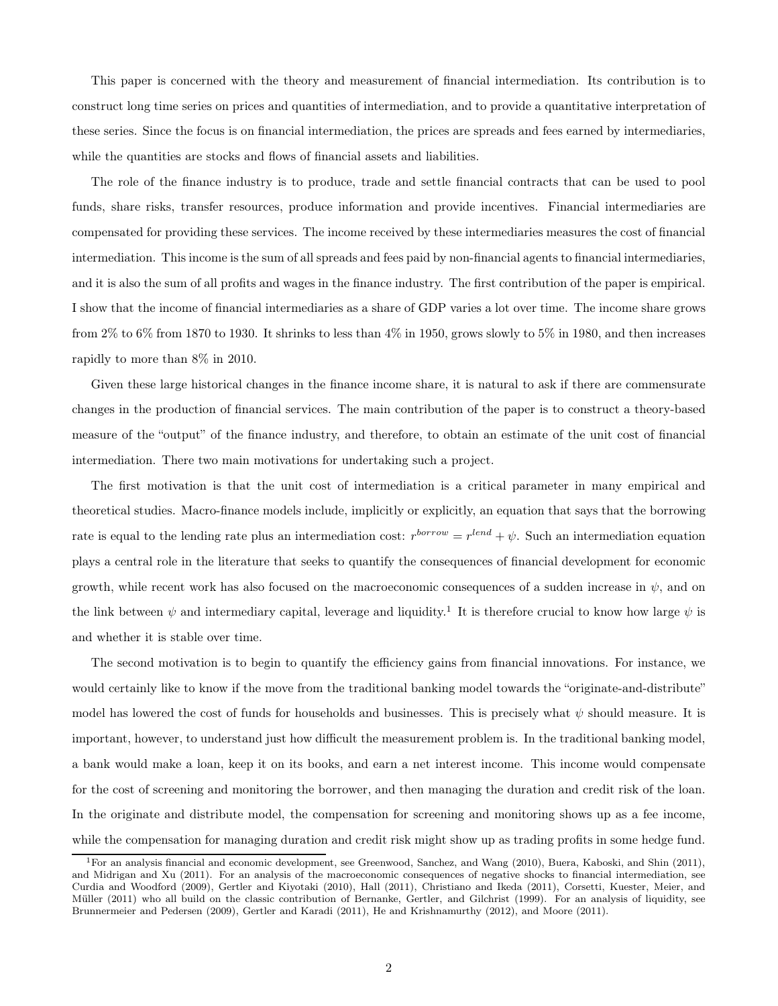This paper is concerned with the theory and measurement of financial intermediation. Its contribution is to construct long time series on prices and quantities of intermediation, and to provide a quantitative interpretation of these series. Since the focus is on financial intermediation, the prices are spreads and fees earned by intermediaries, while the quantities are stocks and flows of financial assets and liabilities.

The role of the finance industry is to produce, trade and settle financial contracts that can be used to pool funds, share risks, transfer resources, produce information and provide incentives. Financial intermediaries are compensated for providing these services. The income received by these intermediaries measures the cost of financial intermediation. This income is the sum of all spreads and fees paid by non-financial agents to financial intermediaries, and it is also the sum of all profits and wages in the finance industry. The first contribution of the paper is empirical. I show that the income of financial intermediaries as a share of GDP varies a lot over time. The income share grows from  $2\%$  to  $6\%$  from 1870 to 1930. It shrinks to less than  $4\%$  in 1950, grows slowly to  $5\%$  in 1980, and then increases rapidly to more than 8% in 2010.

Given these large historical changes in the finance income share, it is natural to ask if there are commensurate changes in the production of financial services. The main contribution of the paper is to construct a theory-based measure of the "output" of the finance industry, and therefore, to obtain an estimate of the unit cost of financial intermediation. There two main motivations for undertaking such a project.

The first motivation is that the unit cost of intermediation is a critical parameter in many empirical and theoretical studies. Macro-finance models include, implicitly or explicitly, an equation that says that the borrowing rate is equal to the lending rate plus an intermediation cost:  $r^{borrow} = r^{lend} + \psi$ . Such an intermediation equation plays a central role in the literature that seeks to quantify the consequences of financial development for economic growth, while recent work has also focused on the macroeconomic consequences of a sudden increase in  $\psi$ , and on the link between  $\psi$  and intermediary capital, leverage and liquidity.<sup>1</sup> It is therefore crucial to know how large  $\psi$  is and whether it is stable over time.

The second motivation is to begin to quantify the efficiency gains from financial innovations. For instance, we would certainly like to know if the move from the traditional banking model towards the "originate-and-distribute" model has lowered the cost of funds for households and businesses. This is precisely what  $\psi$  should measure. It is important, however, to understand just how difficult the measurement problem is. In the traditional banking model, a bank would make a loan, keep it on its books, and earn a net interest income. This income would compensate for the cost of screening and monitoring the borrower, and then managing the duration and credit risk of the loan. In the originate and distribute model, the compensation for screening and monitoring shows up as a fee income, while the compensation for managing duration and credit risk might show up as trading profits in some hedge fund.

<sup>1</sup>For an analysis financial and economic development, see Greenwood, Sanchez, and Wang (2010), Buera, Kaboski, and Shin (2011), and Midrigan and Xu (2011). For an analysis of the macroeconomic consequences of negative shocks to financial intermediation, see Curdia and Woodford (2009), Gertler and Kiyotaki (2010), Hall (2011), Christiano and Ikeda (2011), Corsetti, Kuester, Meier, and Müller (2011) who all build on the classic contribution of Bernanke, Gertler, and Gilchrist (1999). For an analysis of liquidity, see Brunnermeier and Pedersen (2009), Gertler and Karadi (2011), He and Krishnamurthy (2012), and Moore (2011).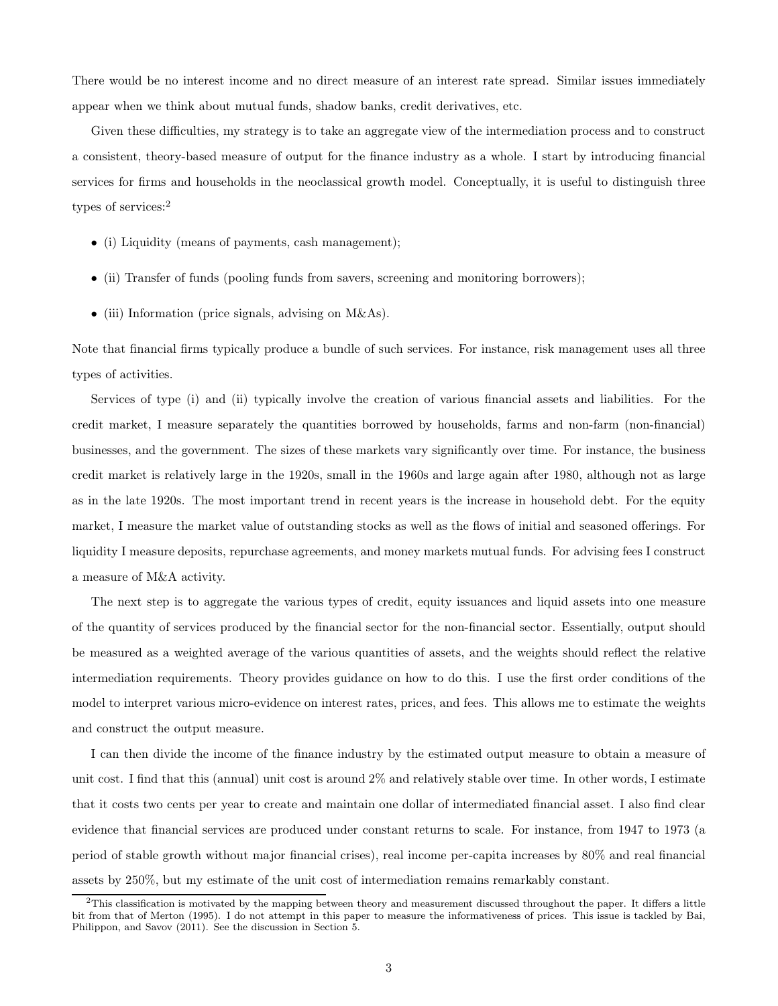There would be no interest income and no direct measure of an interest rate spread. Similar issues immediately appear when we think about mutual funds, shadow banks, credit derivatives, etc.

Given these difficulties, my strategy is to take an aggregate view of the intermediation process and to construct a consistent, theory-based measure of output for the finance industry as a whole. I start by introducing financial services for firms and households in the neoclassical growth model. Conceptually, it is useful to distinguish three types of services:<sup>2</sup>

- (i) Liquidity (means of payments, cash management);
- (ii) Transfer of funds (pooling funds from savers, screening and monitoring borrowers);
- (iii) Information (price signals, advising on M&As).

Note that financial firms typically produce a bundle of such services. For instance, risk management uses all three types of activities.

Services of type (i) and (ii) typically involve the creation of various financial assets and liabilities. For the credit market, I measure separately the quantities borrowed by households, farms and non-farm (non-financial) businesses, and the government. The sizes of these markets vary significantly over time. For instance, the business credit market is relatively large in the 1920s, small in the 1960s and large again after 1980, although not as large as in the late 1920s. The most important trend in recent years is the increase in household debt. For the equity market, I measure the market value of outstanding stocks as well as the flows of initial and seasoned offerings. For liquidity I measure deposits, repurchase agreements, and money markets mutual funds. For advising fees I construct a measure of M&A activity.

The next step is to aggregate the various types of credit, equity issuances and liquid assets into one measure of the quantity of services produced by the financial sector for the non-financial sector. Essentially, output should be measured as a weighted average of the various quantities of assets, and the weights should reflect the relative intermediation requirements. Theory provides guidance on how to do this. I use the first order conditions of the model to interpret various micro-evidence on interest rates, prices, and fees. This allows me to estimate the weights and construct the output measure.

I can then divide the income of the finance industry by the estimated output measure to obtain a measure of unit cost. I find that this (annual) unit cost is around 2% and relatively stable over time. In other words, I estimate that it costs two cents per year to create and maintain one dollar of intermediated financial asset. I also find clear evidence that financial services are produced under constant returns to scale. For instance, from 1947 to 1973 (a period of stable growth without major financial crises), real income per-capita increases by 80% and real financial assets by 250%, but my estimate of the unit cost of intermediation remains remarkably constant.

 $2$ This classification is motivated by the mapping between theory and measurement discussed throughout the paper. It differs a little bit from that of Merton (1995). I do not attempt in this paper to measure the informativeness of prices. This issue is tackled by Bai, Philippon, and Savov (2011). See the discussion in Section 5.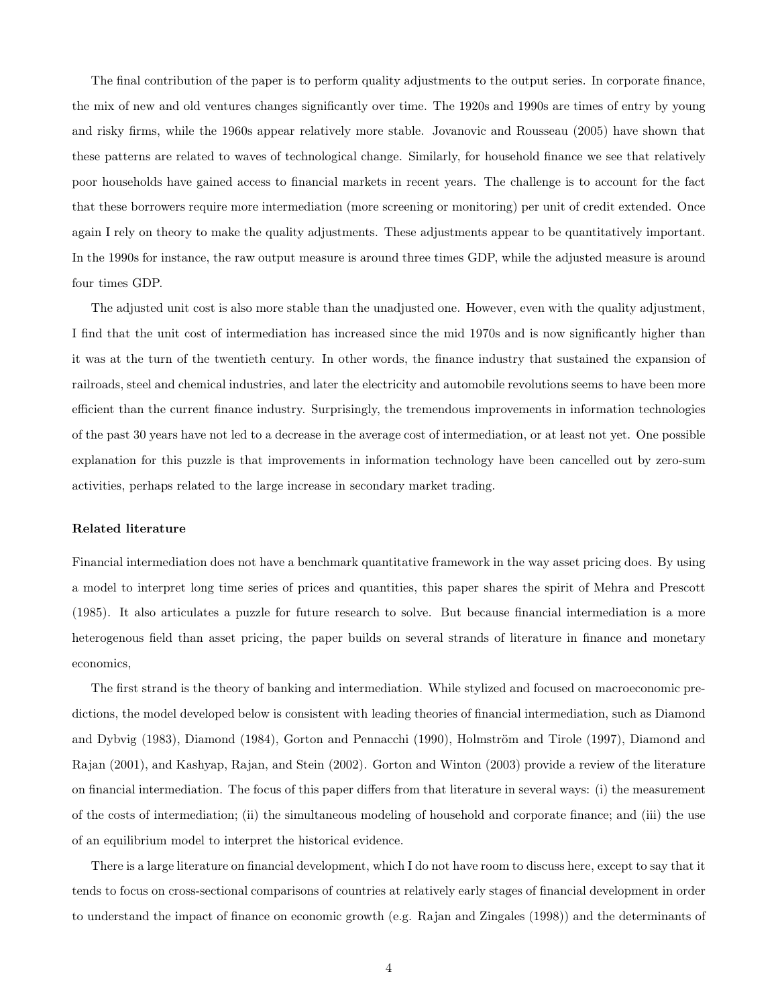The final contribution of the paper is to perform quality adjustments to the output series. In corporate finance, the mix of new and old ventures changes significantly over time. The 1920s and 1990s are times of entry by young and risky firms, while the 1960s appear relatively more stable. Jovanovic and Rousseau (2005) have shown that these patterns are related to waves of technological change. Similarly, for household finance we see that relatively poor households have gained access to financial markets in recent years. The challenge is to account for the fact that these borrowers require more intermediation (more screening or monitoring) per unit of credit extended. Once again I rely on theory to make the quality adjustments. These adjustments appear to be quantitatively important. In the 1990s for instance, the raw output measure is around three times GDP, while the adjusted measure is around four times GDP.

The adjusted unit cost is also more stable than the unadjusted one. However, even with the quality adjustment, I find that the unit cost of intermediation has increased since the mid 1970s and is now significantly higher than it was at the turn of the twentieth century. In other words, the finance industry that sustained the expansion of railroads, steel and chemical industries, and later the electricity and automobile revolutions seems to have been more efficient than the current finance industry. Surprisingly, the tremendous improvements in information technologies of the past 30 years have not led to a decrease in the average cost of intermediation, or at least not yet. One possible explanation for this puzzle is that improvements in information technology have been cancelled out by zero-sum activities, perhaps related to the large increase in secondary market trading.

#### Related literature

Financial intermediation does not have a benchmark quantitative framework in the way asset pricing does. By using a model to interpret long time series of prices and quantities, this paper shares the spirit of Mehra and Prescott (1985). It also articulates a puzzle for future research to solve. But because financial intermediation is a more heterogenous field than asset pricing, the paper builds on several strands of literature in finance and monetary economics,

The first strand is the theory of banking and intermediation. While stylized and focused on macroeconomic predictions, the model developed below is consistent with leading theories of financial intermediation, such as Diamond and Dybvig (1983), Diamond (1984), Gorton and Pennacchi (1990), Holmström and Tirole (1997), Diamond and Rajan (2001), and Kashyap, Rajan, and Stein (2002). Gorton and Winton (2003) provide a review of the literature on financial intermediation. The focus of this paper differs from that literature in several ways: (i) the measurement of the costs of intermediation; (ii) the simultaneous modeling of household and corporate finance; and (iii) the use of an equilibrium model to interpret the historical evidence.

There is a large literature on financial development, which I do not have room to discuss here, except to say that it tends to focus on cross-sectional comparisons of countries at relatively early stages of financial development in order to understand the impact of finance on economic growth (e.g. Rajan and Zingales (1998)) and the determinants of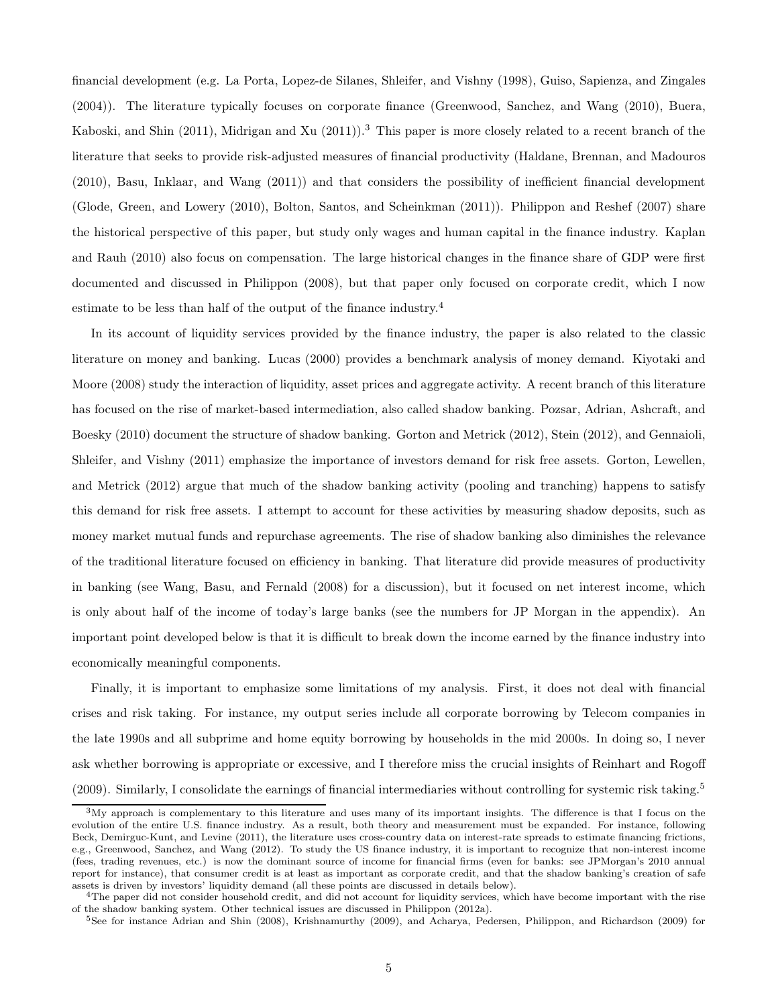financial development (e.g. La Porta, Lopez-de Silanes, Shleifer, and Vishny (1998), Guiso, Sapienza, and Zingales (2004)). The literature typically focuses on corporate finance (Greenwood, Sanchez, and Wang (2010), Buera, Kaboski, and Shin (2011), Midrigan and Xu (2011)).<sup>3</sup> This paper is more closely related to a recent branch of the literature that seeks to provide risk-adjusted measures of financial productivity (Haldane, Brennan, and Madouros (2010), Basu, Inklaar, and Wang (2011)) and that considers the possibility of inefficient financial development (Glode, Green, and Lowery (2010), Bolton, Santos, and Scheinkman (2011)). Philippon and Reshef (2007) share the historical perspective of this paper, but study only wages and human capital in the finance industry. Kaplan and Rauh (2010) also focus on compensation. The large historical changes in the finance share of GDP were first documented and discussed in Philippon (2008), but that paper only focused on corporate credit, which I now estimate to be less than half of the output of the finance industry.<sup>4</sup>

In its account of liquidity services provided by the finance industry, the paper is also related to the classic literature on money and banking. Lucas (2000) provides a benchmark analysis of money demand. Kiyotaki and Moore (2008) study the interaction of liquidity, asset prices and aggregate activity. A recent branch of this literature has focused on the rise of market-based intermediation, also called shadow banking. Pozsar, Adrian, Ashcraft, and Boesky (2010) document the structure of shadow banking. Gorton and Metrick (2012), Stein (2012), and Gennaioli, Shleifer, and Vishny (2011) emphasize the importance of investors demand for risk free assets. Gorton, Lewellen, and Metrick (2012) argue that much of the shadow banking activity (pooling and tranching) happens to satisfy this demand for risk free assets. I attempt to account for these activities by measuring shadow deposits, such as money market mutual funds and repurchase agreements. The rise of shadow banking also diminishes the relevance of the traditional literature focused on efficiency in banking. That literature did provide measures of productivity in banking (see Wang, Basu, and Fernald (2008) for a discussion), but it focused on net interest income, which is only about half of the income of today's large banks (see the numbers for JP Morgan in the appendix). An important point developed below is that it is difficult to break down the income earned by the finance industry into economically meaningful components.

Finally, it is important to emphasize some limitations of my analysis. First, it does not deal with financial crises and risk taking. For instance, my output series include all corporate borrowing by Telecom companies in the late 1990s and all subprime and home equity borrowing by households in the mid 2000s. In doing so, I never ask whether borrowing is appropriate or excessive, and I therefore miss the crucial insights of Reinhart and Rogoff (2009). Similarly, I consolidate the earnings of financial intermediaries without controlling for systemic risk taking.<sup>5</sup>

 $3\text{My}$  approach is complementary to this literature and uses many of its important insights. The difference is that I focus on the evolution of the entire U.S. finance industry. As a result, both theory and measurement must be expanded. For instance, following Beck, Demirguc-Kunt, and Levine (2011), the literature uses cross-country data on interest-rate spreads to estimate financing frictions, e.g., Greenwood, Sanchez, and Wang (2012). To study the US finance industry, it is important to recognize that non-interest income (fees, trading revenues, etc.) is now the dominant source of income for financial firms (even for banks: see JPMorgan's 2010 annual report for instance), that consumer credit is at least as important as corporate credit, and that the shadow banking's creation of safe assets is driven by investors' liquidity demand (all these points are discussed in details below).

<sup>&</sup>lt;sup>4</sup>The paper did not consider household credit, and did not account for liquidity services, which have become important with the rise of the shadow banking system. Other technical issues are discussed in Philippon (2012a).

<sup>&</sup>lt;sup>5</sup>See for instance Adrian and Shin (2008), Krishnamurthy (2009), and Acharya, Pedersen, Philippon, and Richardson (2009) for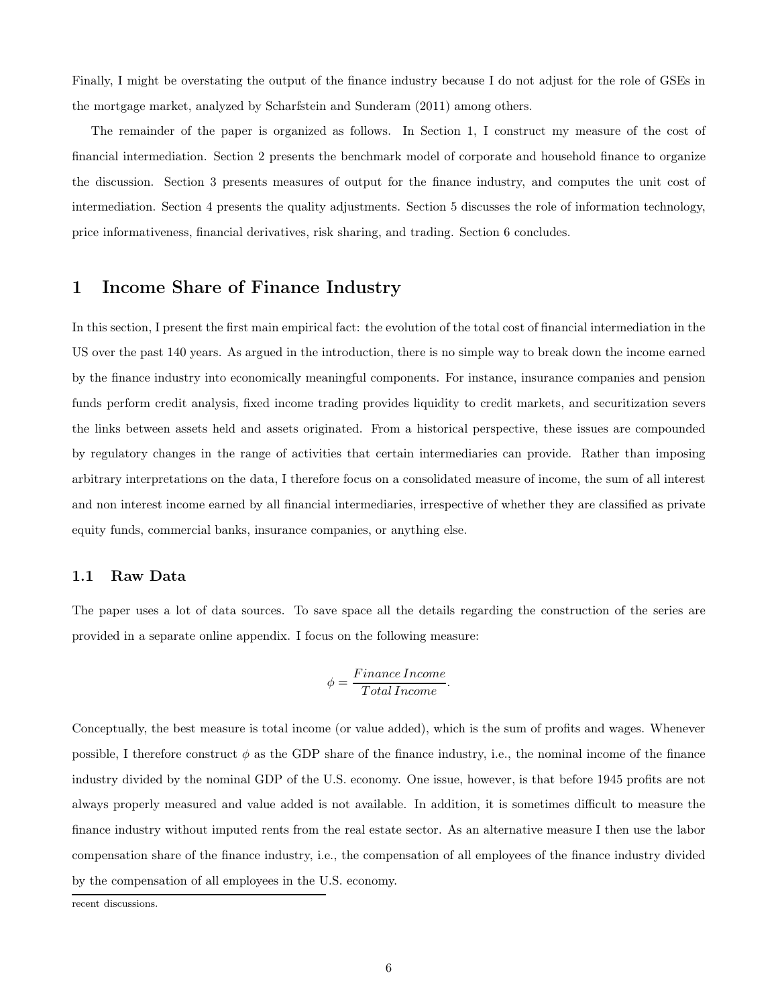Finally, I might be overstating the output of the finance industry because I do not adjust for the role of GSEs in the mortgage market, analyzed by Scharfstein and Sunderam (2011) among others.

The remainder of the paper is organized as follows. In Section 1, I construct my measure of the cost of financial intermediation. Section 2 presents the benchmark model of corporate and household finance to organize the discussion. Section 3 presents measures of output for the finance industry, and computes the unit cost of intermediation. Section 4 presents the quality adjustments. Section 5 discusses the role of information technology, price informativeness, financial derivatives, risk sharing, and trading. Section 6 concludes.

### 1 Income Share of Finance Industry

In this section, I present the first main empirical fact: the evolution of the total cost of financial intermediation in the US over the past 140 years. As argued in the introduction, there is no simple way to break down the income earned by the finance industry into economically meaningful components. For instance, insurance companies and pension funds perform credit analysis, fixed income trading provides liquidity to credit markets, and securitization severs the links between assets held and assets originated. From a historical perspective, these issues are compounded by regulatory changes in the range of activities that certain intermediaries can provide. Rather than imposing arbitrary interpretations on the data, I therefore focus on a consolidated measure of income, the sum of all interest and non interest income earned by all financial intermediaries, irrespective of whether they are classified as private equity funds, commercial banks, insurance companies, or anything else.

#### 1.1 Raw Data

The paper uses a lot of data sources. To save space all the details regarding the construction of the series are provided in a separate online appendix. I focus on the following measure:

$$
\phi = \frac{Finance\ Income}{Total\ Income}.
$$

Conceptually, the best measure is total income (or value added), which is the sum of profits and wages. Whenever possible, I therefore construct  $\phi$  as the GDP share of the finance industry, i.e., the nominal income of the finance industry divided by the nominal GDP of the U.S. economy. One issue, however, is that before 1945 profits are not always properly measured and value added is not available. In addition, it is sometimes difficult to measure the finance industry without imputed rents from the real estate sector. As an alternative measure I then use the labor compensation share of the finance industry, i.e., the compensation of all employees of the finance industry divided by the compensation of all employees in the U.S. economy.

recent discussions.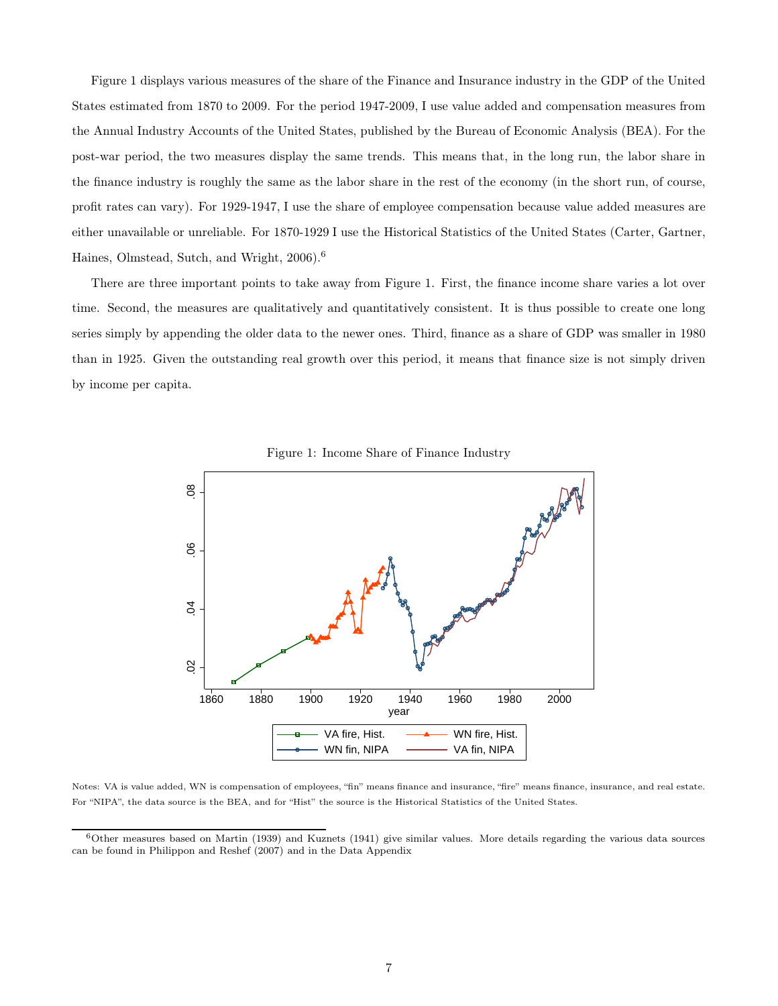Figure 1 displays various measures of the share of the Finance and Insurance industry in the GDP of the United States estimated from 1870 to 2009. For the period 1947-2009, I use value added and compensation measures from the Annual Industry Accounts of the United States, published by the Bureau of Economic Analysis (BEA). For the post-war period, the two measures display the same trends. This means that, in the long run, the labor share in the finance industry is roughly the same as the labor share in the rest of the economy (in the short run, of course, profit rates can vary). For 1929-1947, I use the share of employee compensation because value added measures are either unavailable or unreliable. For 1870-1929 I use the Historical Statistics of the United States (Carter, Gartner, Haines, Olmstead, Sutch, and Wright, 2006).<sup>6</sup>

There are three important points to take away from Figure 1. First, the finance income share varies a lot over time. Second, the measures are qualitatively and quantitatively consistent. It is thus possible to create one long series simply by appending the older data to the newer ones. Third, finance as a share of GDP was smaller in 1980 than in 1925. Given the outstanding real growth over this period, it means that finance size is not simply driven by income per capita.



Figure 1: Income Share of Finance Industry

Notes: VA is value added, WN is compensation of employees, "fin" means finance and insurance, "fire" means finance, insurance, and real estate. For "NIPA", the data source is the BEA, and for "Hist" the source is the Historical Statistics of the United States.

 $6$ Other measures based on Martin (1939) and Kuznets (1941) give similar values. More details regarding the various data sources can be found in Philippon and Reshef (2007) and in the Data Appendix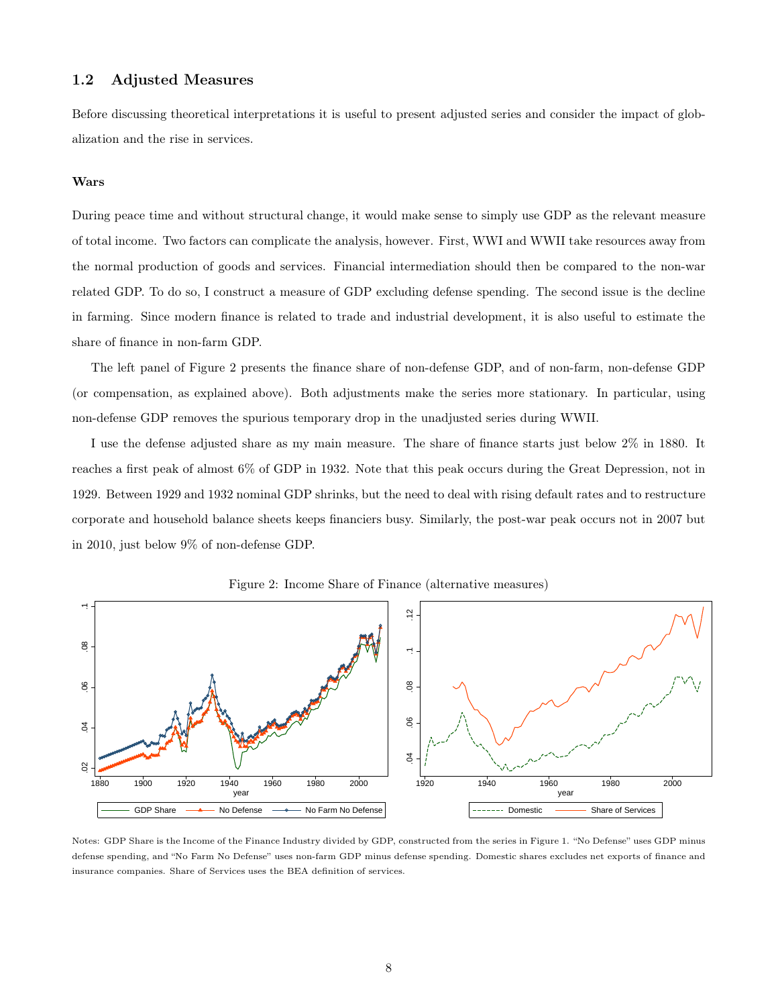#### 1.2 Adjusted Measures

Before discussing theoretical interpretations it is useful to present adjusted series and consider the impact of globalization and the rise in services.

#### Wars

During peace time and without structural change, it would make sense to simply use GDP as the relevant measure of total income. Two factors can complicate the analysis, however. First, WWI and WWII take resources away from the normal production of goods and services. Financial intermediation should then be compared to the non-war related GDP. To do so, I construct a measure of GDP excluding defense spending. The second issue is the decline in farming. Since modern finance is related to trade and industrial development, it is also useful to estimate the share of finance in non-farm GDP.

The left panel of Figure 2 presents the finance share of non-defense GDP, and of non-farm, non-defense GDP (or compensation, as explained above). Both adjustments make the series more stationary. In particular, using non-defense GDP removes the spurious temporary drop in the unadjusted series during WWII.

I use the defense adjusted share as my main measure. The share of finance starts just below 2% in 1880. It reaches a first peak of almost 6% of GDP in 1932. Note that this peak occurs during the Great Depression, not in 1929. Between 1929 and 1932 nominal GDP shrinks, but the need to deal with rising default rates and to restructure corporate and household balance sheets keeps financiers busy. Similarly, the post-war peak occurs not in 2007 but in 2010, just below 9% of non-defense GDP.





Notes: GDP Share is the Income of the Finance Industry divided by GDP, constructed from the series in Figure 1. "No Defense" uses GDP minus defense spending, and "No Farm No Defense" uses non-farm GDP minus defense spending. Domestic shares excludes net exports of finance and insurance companies. Share of Services uses the BEA definition of services.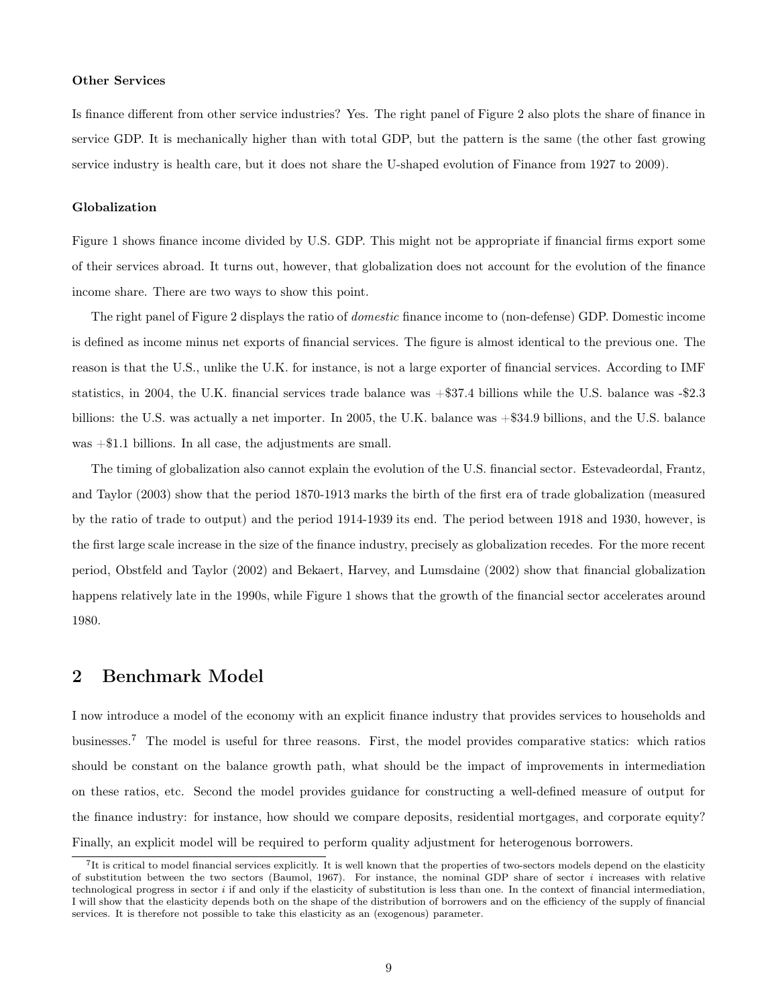#### Other Services

Is finance different from other service industries? Yes. The right panel of Figure 2 also plots the share of finance in service GDP. It is mechanically higher than with total GDP, but the pattern is the same (the other fast growing service industry is health care, but it does not share the U-shaped evolution of Finance from 1927 to 2009).

#### Globalization

Figure 1 shows finance income divided by U.S. GDP. This might not be appropriate if financial firms export some of their services abroad. It turns out, however, that globalization does not account for the evolution of the finance income share. There are two ways to show this point.

The right panel of Figure 2 displays the ratio of domestic finance income to (non-defense) GDP. Domestic income is defined as income minus net exports of financial services. The figure is almost identical to the previous one. The reason is that the U.S., unlike the U.K. for instance, is not a large exporter of financial services. According to IMF statistics, in 2004, the U.K. financial services trade balance was +\$37.4 billions while the U.S. balance was -\$2.3 billions: the U.S. was actually a net importer. In 2005, the U.K. balance was +\$34.9 billions, and the U.S. balance was +\$1.1 billions. In all case, the adjustments are small.

The timing of globalization also cannot explain the evolution of the U.S. financial sector. Estevadeordal, Frantz, and Taylor (2003) show that the period 1870-1913 marks the birth of the first era of trade globalization (measured by the ratio of trade to output) and the period 1914-1939 its end. The period between 1918 and 1930, however, is the first large scale increase in the size of the finance industry, precisely as globalization recedes. For the more recent period, Obstfeld and Taylor (2002) and Bekaert, Harvey, and Lumsdaine (2002) show that financial globalization happens relatively late in the 1990s, while Figure 1 shows that the growth of the financial sector accelerates around 1980.

### 2 Benchmark Model

I now introduce a model of the economy with an explicit finance industry that provides services to households and businesses.<sup>7</sup> The model is useful for three reasons. First, the model provides comparative statics: which ratios should be constant on the balance growth path, what should be the impact of improvements in intermediation on these ratios, etc. Second the model provides guidance for constructing a well-defined measure of output for the finance industry: for instance, how should we compare deposits, residential mortgages, and corporate equity? Finally, an explicit model will be required to perform quality adjustment for heterogenous borrowers.

<sup>&</sup>lt;sup>7</sup>It is critical to model financial services explicitly. It is well known that the properties of two-sectors models depend on the elasticity of substitution between the two sectors (Baumol, 1967). For instance, the nominal GDP share of sector  $i$  increases with relative technological progress in sector  $i$  if and only if the elasticity of substitution is less than one. In the context of financial intermediation, I will show that the elasticity depends both on the shape of the distribution of borrowers and on the efficiency of the supply of financial services. It is therefore not possible to take this elasticity as an (exogenous) parameter.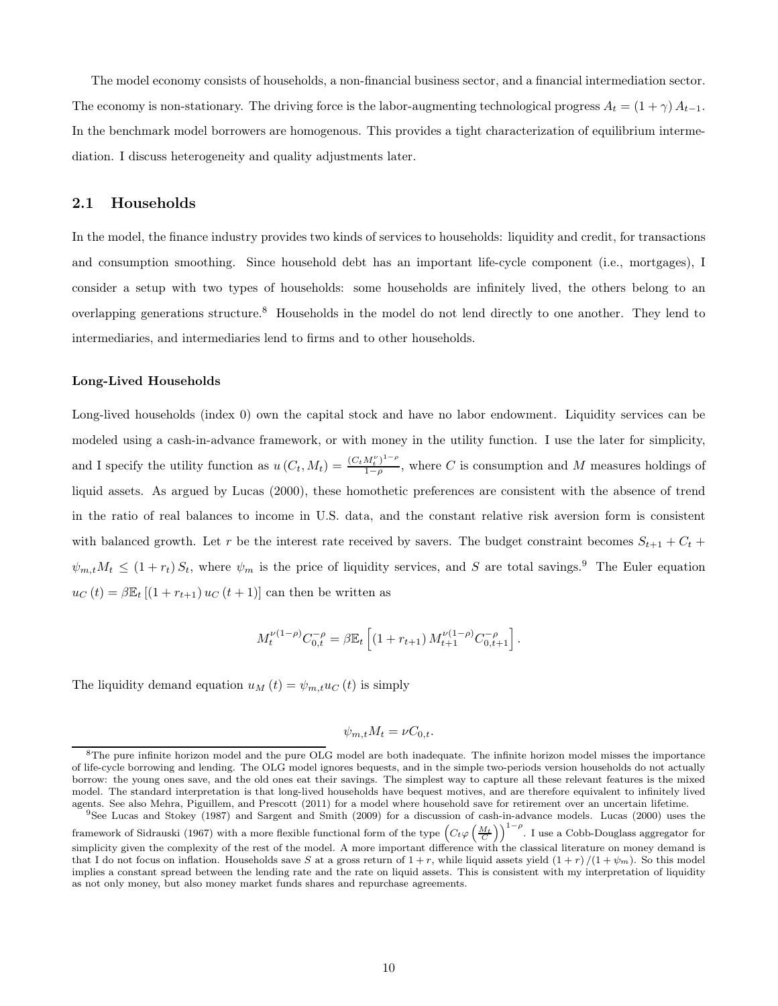The model economy consists of households, a non-financial business sector, and a financial intermediation sector. The economy is non-stationary. The driving force is the labor-augmenting technological progress  $A_t = (1 + \gamma) A_{t-1}$ . In the benchmark model borrowers are homogenous. This provides a tight characterization of equilibrium intermediation. I discuss heterogeneity and quality adjustments later.

#### 2.1 Households

In the model, the finance industry provides two kinds of services to households: liquidity and credit, for transactions and consumption smoothing. Since household debt has an important life-cycle component (i.e., mortgages), I consider a setup with two types of households: some households are infinitely lived, the others belong to an overlapping generations structure.<sup>8</sup> Households in the model do not lend directly to one another. They lend to intermediaries, and intermediaries lend to firms and to other households.

#### Long-Lived Households

Long-lived households (index 0) own the capital stock and have no labor endowment. Liquidity services can be modeled using a cash-in-advance framework, or with money in the utility function. I use the later for simplicity, and I specify the utility function as  $u(C_t, M_t) = \frac{(C_t M_t^{\nu})^{1-\rho}}{1-\rho}$  $\frac{M_t}{1-\rho}$ , where C is consumption and M measures holdings of liquid assets. As argued by Lucas (2000), these homothetic preferences are consistent with the absence of trend in the ratio of real balances to income in U.S. data, and the constant relative risk aversion form is consistent with balanced growth. Let r be the interest rate received by savers. The budget constraint becomes  $S_{t+1} + C_t$  +  $\psi_{m,t}M_t \leq (1+r_t)S_t$ , where  $\psi_m$  is the price of liquidity services, and S are total savings.<sup>9</sup> The Euler equation  $u_C(t) = \beta \mathbb{E}_t [(1 + r_{t+1}) u_C(t+1)]$  can then be written as

$$
M_t^{\nu(1-\rho)}C_{0,t}^{-\rho}=\beta \mathbb{E}_t\left[(1+r_{t+1})\,M_{t+1}^{\nu(1-\rho)}C_{0,t+1}^{-\rho}\right].
$$

The liquidity demand equation  $u_M(t) = \psi_{m,t} u_C(t)$  is simply

$$
\psi_{m,t} M_t = \nu C_{0,t}.
$$

<sup>&</sup>lt;sup>8</sup>The pure infinite horizon model and the pure OLG model are both inadequate. The infinite horizon model misses the importance of life-cycle borrowing and lending. The OLG model ignores bequests, and in the simple two-periods version households do not actually borrow: the young ones save, and the old ones eat their savings. The simplest way to capture all these relevant features is the mixed model. The standard interpretation is that long-lived households have bequest motives, and are therefore equivalent to infinitely lived agents. See also Mehra, Piguillem, and Prescott (2011) for a model where household save for retirement over an uncertain lifetime.

<sup>&</sup>lt;sup>9</sup>See Lucas and Stokey (1987) and Sargent and Smith (2009) for a discussion of cash-in-advance models. Lucas (2000) uses the framework of Sidrauski (1967) with a more flexible functional form of the type  $(C_t\varphi\left(\frac{M_t}{C}\right))^{1-\rho}$ . I use a Cobb-Douglass aggregator for simplicity given the complexity of the rest of the model. A more important difference with the classical literature on money demand is that I do not focus on inflation. Households save S at a gross return of  $1+r$ , while liquid assets yield  $(1+r)/(1+\psi_m)$ . So this model implies a constant spread between the lending rate and the rate on liquid assets. This is consistent with my interpretation of liquidity as not only money, but also money market funds shares and repurchase agreements.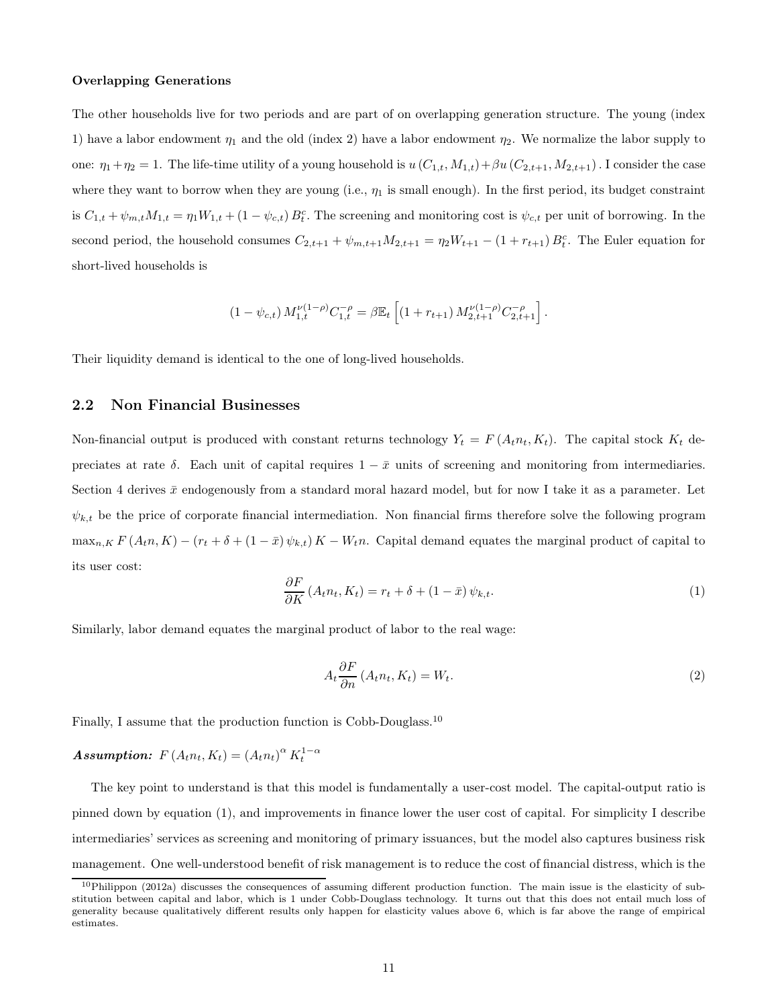#### Overlapping Generations

The other households live for two periods and are part of on overlapping generation structure. The young (index 1) have a labor endowment  $\eta_1$  and the old (index 2) have a labor endowment  $\eta_2$ . We normalize the labor supply to one:  $\eta_1+\eta_2=1$ . The life-time utility of a young household is  $u(C_{1,t}, M_{1,t})+\beta u(C_{2,t+1}, M_{2,t+1})$ . I consider the case where they want to borrow when they are young (i.e.,  $\eta_1$  is small enough). In the first period, its budget constraint is  $C_{1,t} + \psi_{m,t} M_{1,t} = \eta_1 W_{1,t} + (1 - \psi_{c,t}) B_t^c$ . The screening and monitoring cost is  $\psi_{c,t}$  per unit of borrowing. In the second period, the household consumes  $C_{2,t+1} + \psi_{m,t+1}M_{2,t+1} = \eta_2 W_{t+1} - (1 + r_{t+1})B_t^c$ . The Euler equation for short-lived households is

$$
(1 - \psi_{c,t}) M_{1,t}^{\nu(1-\rho)} C_{1,t}^{-\rho} = \beta \mathbb{E}_t \left[ (1 + r_{t+1}) M_{2,t+1}^{\nu(1-\rho)} C_{2,t+1}^{-\rho} \right].
$$

Their liquidity demand is identical to the one of long-lived households.

#### 2.2 Non Financial Businesses

Non-financial output is produced with constant returns technology  $Y_t = F(A_t n_t, K_t)$ . The capital stock  $K_t$  depreciates at rate  $\delta$ . Each unit of capital requires  $1 - \bar{x}$  units of screening and monitoring from intermediaries. Section 4 derives  $\bar{x}$  endogenously from a standard moral hazard model, but for now I take it as a parameter. Let  $\psi_{k,t}$  be the price of corporate financial intermediation. Non financial firms therefore solve the following program  $\max_{n,K} F(A_t n, K) - (r_t + \delta + (1 - \bar{x}) \psi_{k,t}) K - W_t n$ . Capital demand equates the marginal product of capital to its user cost:

$$
\frac{\partial F}{\partial K} \left( A_t n_t, K_t \right) = r_t + \delta + (1 - \bar{x}) \psi_{k,t}.
$$
\n(1)

Similarly, labor demand equates the marginal product of labor to the real wage:

$$
A_t \frac{\partial F}{\partial n} \left( A_t n_t, K_t \right) = W_t. \tag{2}
$$

Finally, I assume that the production function is Cobb-Douglass.<sup>10</sup>

### Assumption:  $F(A_t n_t, K_t) = (A_t n_t)^{\alpha} K_t^{1-\alpha}$

The key point to understand is that this model is fundamentally a user-cost model. The capital-output ratio is pinned down by equation (1), and improvements in finance lower the user cost of capital. For simplicity I describe intermediaries' services as screening and monitoring of primary issuances, but the model also captures business risk management. One well-understood benefit of risk management is to reduce the cost of financial distress, which is the

 $10$ Philippon (2012a) discusses the consequences of assuming different production function. The main issue is the elasticity of substitution between capital and labor, which is 1 under Cobb-Douglass technology. It turns out that this does not entail much loss of generality because qualitatively different results only happen for elasticity values above 6, which is far above the range of empirical estimates.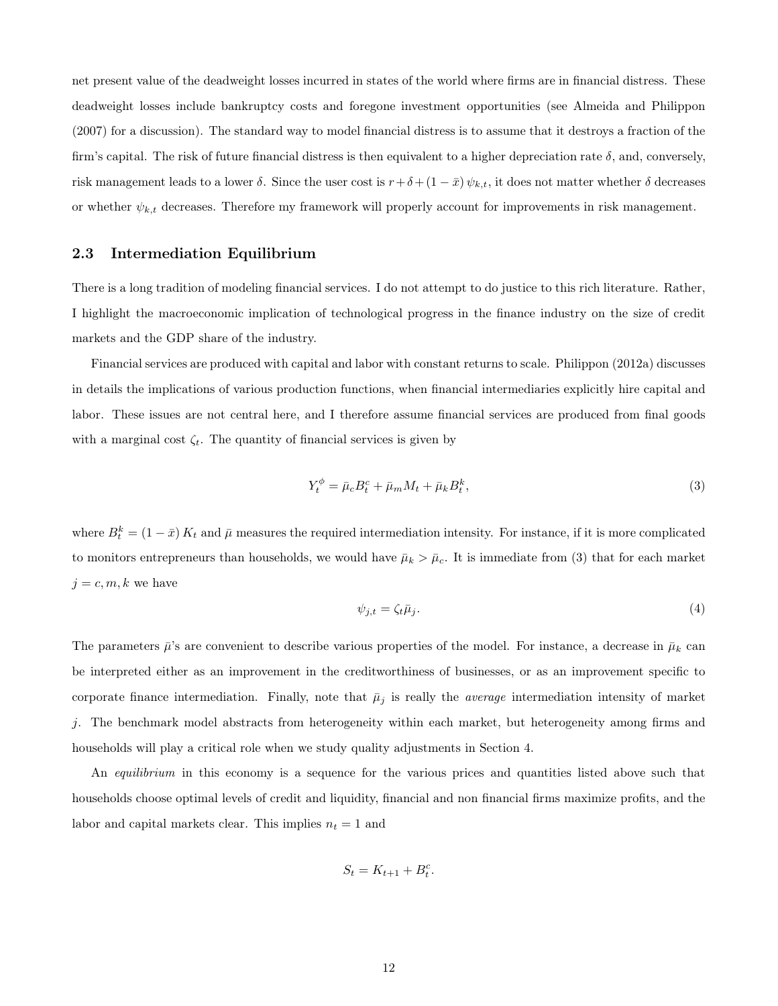net present value of the deadweight losses incurred in states of the world where firms are in financial distress. These deadweight losses include bankruptcy costs and foregone investment opportunities (see Almeida and Philippon (2007) for a discussion). The standard way to model financial distress is to assume that it destroys a fraction of the firm's capital. The risk of future financial distress is then equivalent to a higher depreciation rate  $\delta$ , and, conversely, risk management leads to a lower  $\delta$ . Since the user cost is  $r+\delta+(1-\bar{x})\psi_{k,t}$ , it does not matter whether  $\delta$  decreases or whether  $\psi_{k,t}$  decreases. Therefore my framework will properly account for improvements in risk management.

#### 2.3 Intermediation Equilibrium

There is a long tradition of modeling financial services. I do not attempt to do justice to this rich literature. Rather, I highlight the macroeconomic implication of technological progress in the finance industry on the size of credit markets and the GDP share of the industry.

Financial services are produced with capital and labor with constant returns to scale. Philippon (2012a) discusses in details the implications of various production functions, when financial intermediaries explicitly hire capital and labor. These issues are not central here, and I therefore assume financial services are produced from final goods with a marginal cost  $\zeta_t$ . The quantity of financial services is given by

$$
Y_t^{\phi} = \bar{\mu}_c B_t^c + \bar{\mu}_m M_t + \bar{\mu}_k B_t^k, \tag{3}
$$

where  $B_t^k = (1 - \bar{x}) K_t$  and  $\bar{\mu}$  measures the required intermediation intensity. For instance, if it is more complicated to monitors entrepreneurs than households, we would have  $\bar{\mu}_k > \bar{\mu}_c$ . It is immediate from (3) that for each market  $j = c, m, k$  we have

$$
\psi_{j,t} = \zeta_t \bar{\mu}_j. \tag{4}
$$

The parameters  $\bar{\mu}$ 's are convenient to describe various properties of the model. For instance, a decrease in  $\bar{\mu}_k$  can be interpreted either as an improvement in the creditworthiness of businesses, or as an improvement specific to corporate finance intermediation. Finally, note that  $\bar{\mu}_j$  is really the *average* intermediation intensity of market j. The benchmark model abstracts from heterogeneity within each market, but heterogeneity among firms and households will play a critical role when we study quality adjustments in Section 4.

An *equilibrium* in this economy is a sequence for the various prices and quantities listed above such that households choose optimal levels of credit and liquidity, financial and non financial firms maximize profits, and the labor and capital markets clear. This implies  $n_t = 1$  and

$$
S_t = K_{t+1} + B_t^c.
$$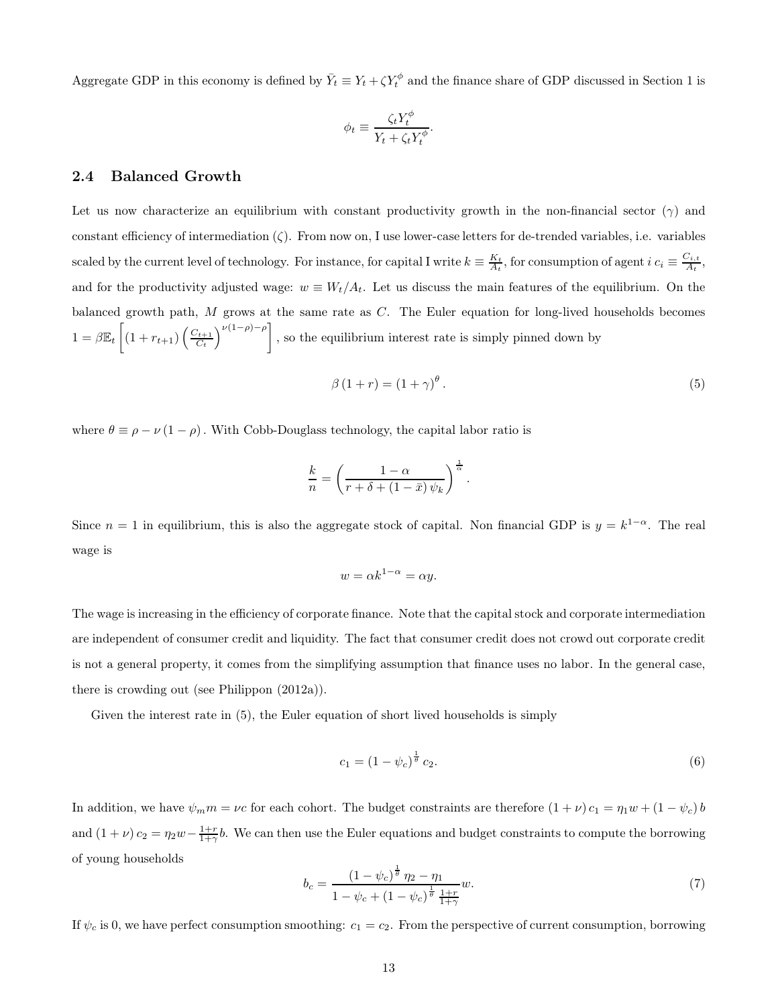Aggregate GDP in this economy is defined by  $\bar{Y}_t \equiv Y_t + \zeta Y_t^{\phi}$  and the finance share of GDP discussed in Section 1 is

$$
\phi_t \equiv \frac{\zeta_t Y_t^{\phi}}{Y_t + \zeta_t Y_t^{\phi}}.
$$

#### 2.4 Balanced Growth

Let us now characterize an equilibrium with constant productivity growth in the non-financial sector ( $\gamma$ ) and constant efficiency of intermediation  $(\zeta)$ . From now on, I use lower-case letters for de-trended variables, i.e. variables scaled by the current level of technology. For instance, for capital I write  $k \equiv \frac{K_t}{A_t}$ , for consumption of agent  $i$   $c_i \equiv \frac{C_{i,t}}{A_t}$  $\frac{z_{i,t}}{A_t},$ and for the productivity adjusted wage:  $w \equiv W_t/A_t$ . Let us discuss the main features of the equilibrium. On the balanced growth path, M grows at the same rate as C. The Euler equation for long-lived households becomes  $1 = \beta \mathbb{E}_{t} \left[ (1 + r_{t+1}) \left( \frac{C_{t+1}}{C_t} \right) \right]$  $\left[\frac{\nu_{t+1}}{C_t}\right]^{\nu(1-\rho)-\rho}$ , so the equilibrium interest rate is simply pinned down by

$$
\beta(1+r) = (1+\gamma)^{\theta}.
$$
\n(5)

.

where  $\theta \equiv \rho - \nu (1 - \rho)$ . With Cobb-Douglass technology, the capital labor ratio is

$$
\frac{k}{n} = \left(\frac{1-\alpha}{r+\delta + (1-\bar{x})\,\psi_k}\right)^{\frac{1}{\alpha}}
$$

Since  $n = 1$  in equilibrium, this is also the aggregate stock of capital. Non financial GDP is  $y = k^{1-\alpha}$ . The real wage is

$$
w = \alpha k^{1-\alpha} = \alpha y.
$$

The wage is increasing in the efficiency of corporate finance. Note that the capital stock and corporate intermediation are independent of consumer credit and liquidity. The fact that consumer credit does not crowd out corporate credit is not a general property, it comes from the simplifying assumption that finance uses no labor. In the general case, there is crowding out (see Philippon (2012a)).

Given the interest rate in (5), the Euler equation of short lived households is simply

$$
c_1 = (1 - \psi_c)^{\frac{1}{\theta}} c_2. \tag{6}
$$

In addition, we have  $\psi_m m = \nu c$  for each cohort. The budget constraints are therefore  $(1 + \nu) c_1 = \eta_1 w + (1 - \psi_c) b$ and  $(1 + \nu) c_2 = \eta_2 w - \frac{1+r}{1+\gamma}b$ . We can then use the Euler equations and budget constraints to compute the borrowing of young households

$$
b_c = \frac{\left(1 - \psi_c\right)^{\frac{1}{\theta}} \eta_2 - \eta_1}{1 - \psi_c + \left(1 - \psi_c\right)^{\frac{1}{\theta}} \frac{1+r}{1+\gamma}} w. \tag{7}
$$

If  $\psi_c$  is 0, we have perfect consumption smoothing:  $c_1 = c_2$ . From the perspective of current consumption, borrowing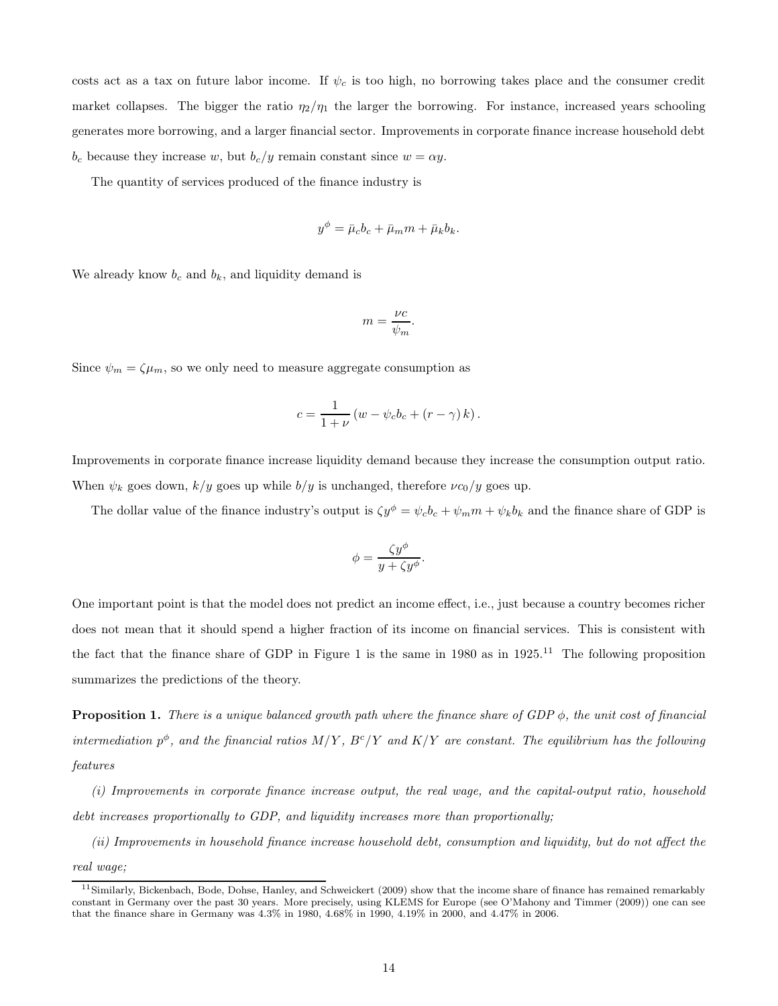costs act as a tax on future labor income. If  $\psi_c$  is too high, no borrowing takes place and the consumer credit market collapses. The bigger the ratio  $\eta_2/\eta_1$  the larger the borrowing. For instance, increased years schooling generates more borrowing, and a larger financial sector. Improvements in corporate finance increase household debt  $b_c$  because they increase w, but  $b_c/y$  remain constant since  $w = \alpha y$ .

The quantity of services produced of the finance industry is

$$
y^{\phi} = \bar{\mu}_c b_c + \bar{\mu}_m m + \bar{\mu}_k b_k.
$$

We already know  $b_c$  and  $b_k$ , and liquidity demand is

$$
m = \frac{\nu c}{\psi_m}.
$$

Since  $\psi_m = \zeta \mu_m$ , so we only need to measure aggregate consumption as

$$
c = \frac{1}{1+\nu} \left( w - \psi_c b_c + \left( r - \gamma \right) k \right).
$$

Improvements in corporate finance increase liquidity demand because they increase the consumption output ratio. When  $\psi_k$  goes down,  $k/y$  goes up while  $b/y$  is unchanged, therefore  $\nu c_0/y$  goes up.

The dollar value of the finance industry's output is  $\zeta y^{\phi} = \psi_c b_c + \psi_m m + \psi_k b_k$  and the finance share of GDP is

$$
\phi = \frac{\zeta y^{\phi}}{y + \zeta y^{\phi}}.
$$

One important point is that the model does not predict an income effect, i.e., just because a country becomes richer does not mean that it should spend a higher fraction of its income on financial services. This is consistent with the fact that the finance share of GDP in Figure 1 is the same in 1980 as in 1925.<sup>11</sup> The following proposition summarizes the predictions of the theory.

**Proposition 1.** There is a unique balanced growth path where the finance share of GDP  $\phi$ , the unit cost of financial intermediation  $p^{\phi}$ , and the financial ratios  $M/Y$ ,  $B^{c}/Y$  and  $K/Y$  are constant. The equilibrium has the following features

(i) Improvements in corporate finance increase output, the real wage, and the capital-output ratio, household debt increases proportionally to GDP, and liquidity increases more than proportionally;

(ii) Improvements in household finance increase household debt, consumption and liquidity, but do not affect the real wage;

 $11$ Similarly, Bickenbach, Bode, Dohse, Hanley, and Schweickert (2009) show that the income share of finance has remained remarkably constant in Germany over the past 30 years. More precisely, using KLEMS for Europe (see O'Mahony and Timmer (2009)) one can see that the finance share in Germany was 4.3% in 1980, 4.68% in 1990, 4.19% in 2000, and 4.47% in 2006.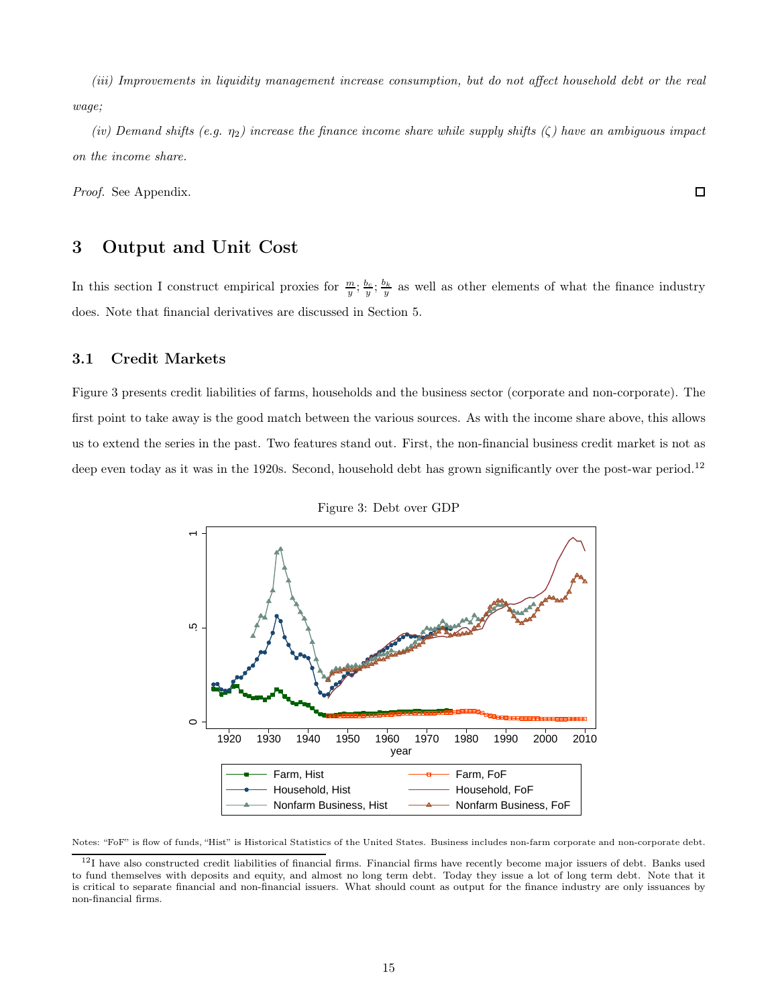(iii) Improvements in liquidity management increase consumption, but do not affect household debt or the real wage;

(iv) Demand shifts (e.g.  $\eta_2$ ) increase the finance income share while supply shifts ( $\zeta$ ) have an ambiguous impact on the income share.

Proof. See Appendix.

### 3 Output and Unit Cost

In this section I construct empirical proxies for  $\frac{m}{y}$ ;  $\frac{b_c}{y}$ ;  $\frac{b_k}{y}$  as well as other elements of what the finance industry does. Note that financial derivatives are discussed in Section 5.

#### 3.1 Credit Markets

Figure 3 presents credit liabilities of farms, households and the business sector (corporate and non-corporate). The first point to take away is the good match between the various sources. As with the income share above, this allows us to extend the series in the past. Two features stand out. First, the non-financial business credit market is not as deep even today as it was in the 1920s. Second, household debt has grown significantly over the post-war period.<sup>12</sup>



Figure 3: Debt over GDP

Notes: "FoF" is flow of funds, "Hist" is Historical Statistics of the United States. Business includes non-farm corporate and non-corporate debt.

 $\Box$ 

 $12$ I have also constructed credit liabilities of financial firms. Financial firms have recently become major issuers of debt. Banks used to fund themselves with deposits and equity, and almost no long term debt. Today they issue a lot of long term debt. Note that it is critical to separate financial and non-financial issuers. What should count as output for the finance industry are only issuances by non-financial firms.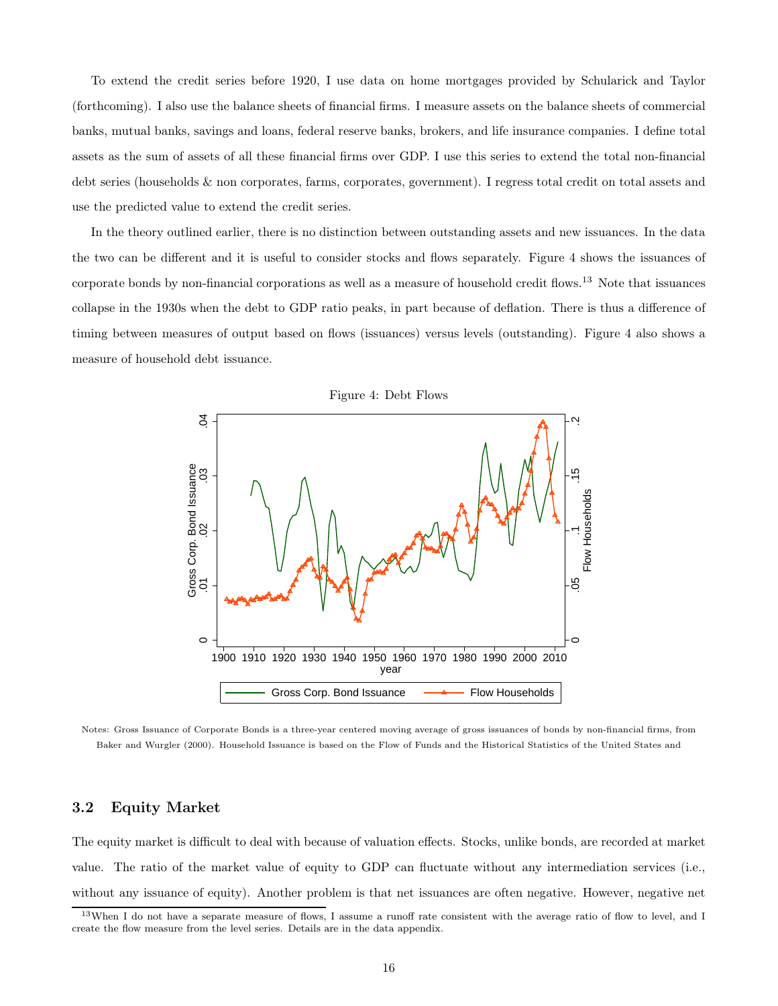To extend the credit series before 1920, I use data on home mortgages provided by Schularick and Taylor (forthcoming). I also use the balance sheets of financial firms. I measure assets on the balance sheets of commercial banks, mutual banks, savings and loans, federal reserve banks, brokers, and life insurance companies. I define total assets as the sum of assets of all these financial firms over GDP. I use this series to extend the total non-financial debt series (households & non corporates, farms, corporates, government). I regress total credit on total assets and use the predicted value to extend the credit series.

In the theory outlined earlier, there is no distinction between outstanding assets and new issuances. In the data the two can be different and it is useful to consider stocks and flows separately. Figure 4 shows the issuances of corporate bonds by non-financial corporations as well as a measure of household credit flows.<sup>13</sup> Note that issuances collapse in the 1930s when the debt to GDP ratio peaks, in part because of deflation. There is thus a difference of timing between measures of output based on flows (issuances) versus levels (outstanding). Figure 4 also shows a measure of household debt issuance.



Notes: Gross Issuance of Corporate Bonds is a three-year centered moving average of gross issuances of bonds by non-financial firms, from Baker and Wurgler (2000). Household Issuance is based on the Flow of Funds and the Historical Statistics of the United States and

### 3.2 Equity Market

The equity market is difficult to deal with because of valuation effects. Stocks, unlike bonds, are recorded at market value. The ratio of the market value of equity to GDP can fluctuate without any intermediation services (i.e., without any issuance of equity). Another problem is that net issuances are often negative. However, negative net

<sup>13</sup>When I do not have a separate measure of flows, I assume a runoff rate consistent with the average ratio of flow to level, and I create the flow measure from the level series. Details are in the data appendix.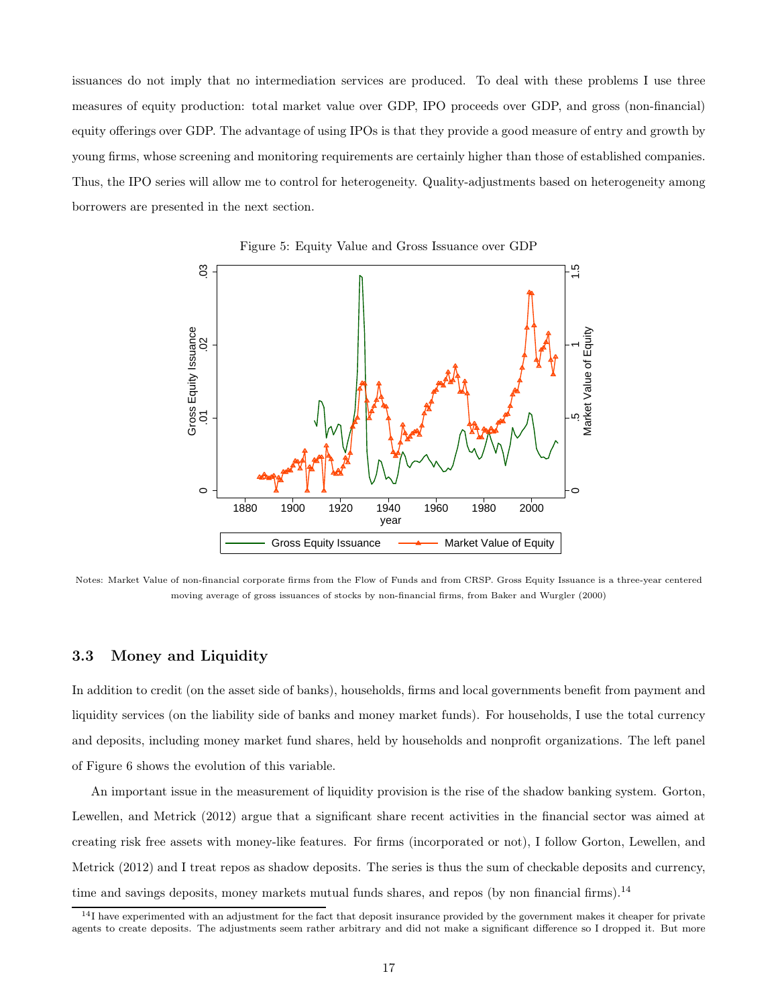issuances do not imply that no intermediation services are produced. To deal with these problems I use three measures of equity production: total market value over GDP, IPO proceeds over GDP, and gross (non-financial) equity offerings over GDP. The advantage of using IPOs is that they provide a good measure of entry and growth by young firms, whose screening and monitoring requirements are certainly higher than those of established companies. Thus, the IPO series will allow me to control for heterogeneity. Quality-adjustments based on heterogeneity among borrowers are presented in the next section.





Notes: Market Value of non-financial corporate firms from the Flow of Funds and from CRSP. Gross Equity Issuance is a three-year centered moving average of gross issuances of stocks by non-financial firms, from Baker and Wurgler (2000)

#### 3.3 Money and Liquidity

In addition to credit (on the asset side of banks), households, firms and local governments benefit from payment and liquidity services (on the liability side of banks and money market funds). For households, I use the total currency and deposits, including money market fund shares, held by households and nonprofit organizations. The left panel of Figure 6 shows the evolution of this variable.

An important issue in the measurement of liquidity provision is the rise of the shadow banking system. Gorton, Lewellen, and Metrick (2012) argue that a significant share recent activities in the financial sector was aimed at creating risk free assets with money-like features. For firms (incorporated or not), I follow Gorton, Lewellen, and Metrick (2012) and I treat repos as shadow deposits. The series is thus the sum of checkable deposits and currency, time and savings deposits, money markets mutual funds shares, and repos (by non financial firms).<sup>14</sup>

 $14$ I have experimented with an adjustment for the fact that deposit insurance provided by the government makes it cheaper for private agents to create deposits. The adjustments seem rather arbitrary and did not make a significant difference so I dropped it. But more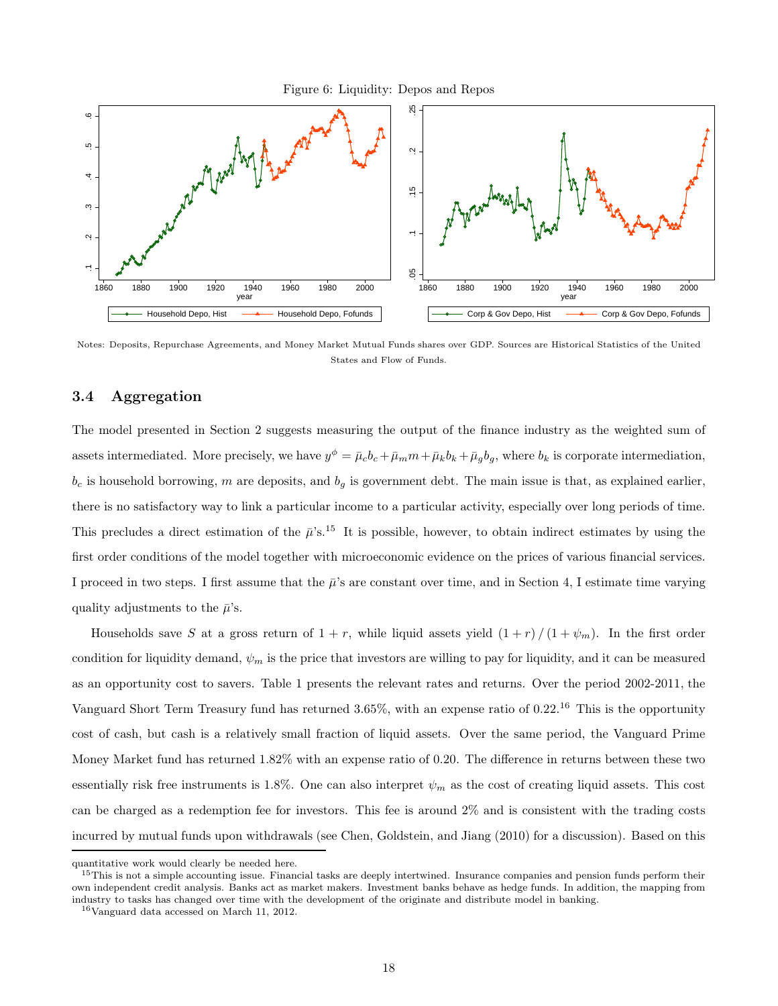Figure 6: Liquidity: Depos and Repos



Notes: Deposits, Repurchase Agreements, and Money Market Mutual Funds shares over GDP. Sources are Historical Statistics of the United States and Flow of Funds.

### 3.4 Aggregation

The model presented in Section 2 suggests measuring the output of the finance industry as the weighted sum of assets intermediated. More precisely, we have  $y^{\phi} = \bar{\mu}_c b_c + \bar{\mu}_m m + \bar{\mu}_k b_k + \bar{\mu}_g b_g$ , where  $b_k$  is corporate intermediation,  $b_c$  is household borrowing, m are deposits, and  $b_g$  is government debt. The main issue is that, as explained earlier, there is no satisfactory way to link a particular income to a particular activity, especially over long periods of time. This precludes a direct estimation of the  $\bar{\mu}$ 's.<sup>15</sup> It is possible, however, to obtain indirect estimates by using the first order conditions of the model together with microeconomic evidence on the prices of various financial services. I proceed in two steps. I first assume that the  $\bar{\mu}$ 's are constant over time, and in Section 4, I estimate time varying quality adjustments to the  $\bar{\mu}$ 's.

Households save S at a gross return of  $1 + r$ , while liquid assets yield  $(1 + r)/(1 + \psi_m)$ . In the first order condition for liquidity demand,  $\psi_m$  is the price that investors are willing to pay for liquidity, and it can be measured as an opportunity cost to savers. Table 1 presents the relevant rates and returns. Over the period 2002-2011, the Vanguard Short Term Treasury fund has returned  $3.65\%$ , with an expense ratio of 0.22.<sup>16</sup> This is the opportunity cost of cash, but cash is a relatively small fraction of liquid assets. Over the same period, the Vanguard Prime Money Market fund has returned 1.82% with an expense ratio of 0.20. The difference in returns between these two essentially risk free instruments is 1.8%. One can also interpret  $\psi_m$  as the cost of creating liquid assets. This cost can be charged as a redemption fee for investors. This fee is around 2% and is consistent with the trading costs incurred by mutual funds upon withdrawals (see Chen, Goldstein, and Jiang (2010) for a discussion). Based on this

quantitative work would clearly be needed here.

 $15$ This is not a simple accounting issue. Financial tasks are deeply intertwined. Insurance companies and pension funds perform their own independent credit analysis. Banks act as market makers. Investment banks behave as hedge funds. In addition, the mapping from industry to tasks has changed over time with the development of the originate and distribute model in banking.

<sup>16</sup>Vanguard data accessed on March 11, 2012.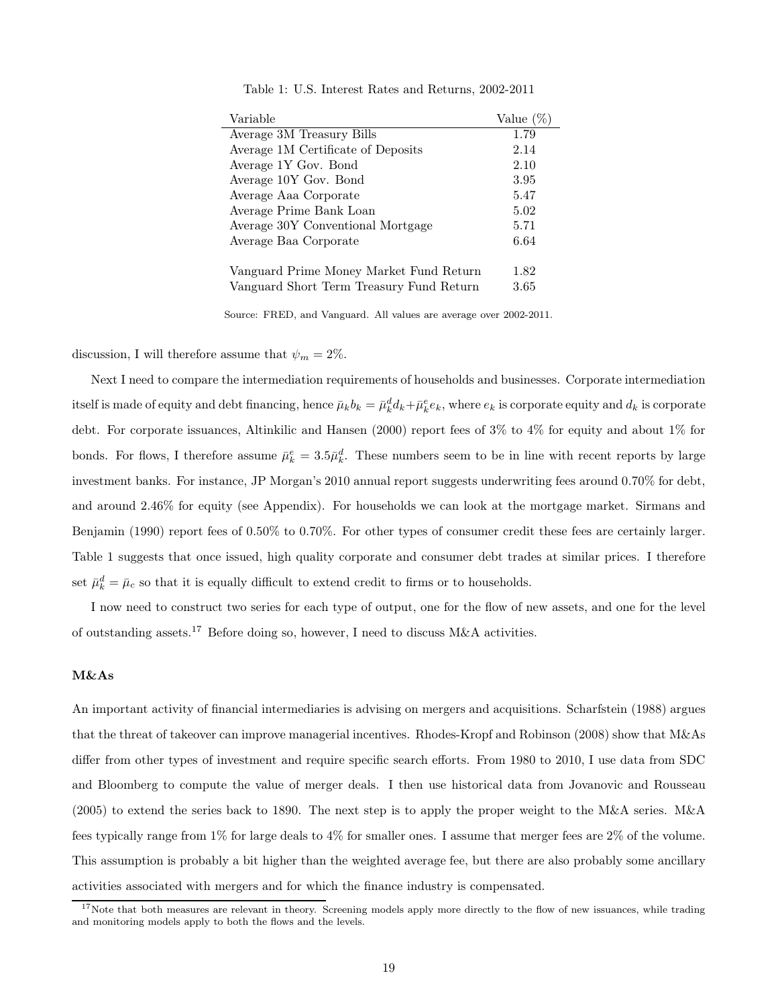| Variable                                 | Value $(\%)$ |
|------------------------------------------|--------------|
| Average 3M Treasury Bills                | 1.79         |
| Average 1M Certificate of Deposits       | 2.14         |
| Average 1Y Gov. Bond                     | 2.10         |
| Average 10Y Gov. Bond                    | 3.95         |
| Average Aaa Corporate                    | 5.47         |
| Average Prime Bank Loan                  | 5.02         |
| Average 30Y Conventional Mortgage        | 5.71         |
| Average Baa Corporate                    | 6.64         |
|                                          |              |
| Vanguard Prime Money Market Fund Return  | 1.82         |
| Vanguard Short Term Treasury Fund Return | 3.65         |

Table 1: U.S. Interest Rates and Returns, 2002-2011

Source: FRED, and Vanguard. All values are average over 2002-2011.

discussion, I will therefore assume that  $\psi_m = 2\%$ .

Next I need to compare the intermediation requirements of households and businesses. Corporate intermediation itself is made of equity and debt financing, hence  $\bar{\mu}_k b_k = \bar{\mu}_k^d d_k + \bar{\mu}_k^e e_k$ , where  $e_k$  is corporate equity and  $d_k$  is corporate debt. For corporate issuances, Altinkilic and Hansen (2000) report fees of 3% to 4% for equity and about 1% for bonds. For flows, I therefore assume  $\bar{\mu}_k^e = 3.5 \bar{\mu}_k^d$ . These numbers seem to be in line with recent reports by large investment banks. For instance, JP Morgan's 2010 annual report suggests underwriting fees around 0.70% for debt, and around 2.46% for equity (see Appendix). For households we can look at the mortgage market. Sirmans and Benjamin (1990) report fees of 0.50% to 0.70%. For other types of consumer credit these fees are certainly larger. Table 1 suggests that once issued, high quality corporate and consumer debt trades at similar prices. I therefore set  $\bar{\mu}_k^d = \bar{\mu}_c$  so that it is equally difficult to extend credit to firms or to households.

I now need to construct two series for each type of output, one for the flow of new assets, and one for the level of outstanding assets.<sup>17</sup> Before doing so, however, I need to discuss M&A activities.

#### M&As

An important activity of financial intermediaries is advising on mergers and acquisitions. Scharfstein (1988) argues that the threat of takeover can improve managerial incentives. Rhodes-Kropf and Robinson (2008) show that M&As differ from other types of investment and require specific search efforts. From 1980 to 2010, I use data from SDC and Bloomberg to compute the value of merger deals. I then use historical data from Jovanovic and Rousseau (2005) to extend the series back to 1890. The next step is to apply the proper weight to the M&A series. M&A fees typically range from 1% for large deals to 4% for smaller ones. I assume that merger fees are 2% of the volume. This assumption is probably a bit higher than the weighted average fee, but there are also probably some ancillary activities associated with mergers and for which the finance industry is compensated.

 $17$ Note that both measures are relevant in theory. Screening models apply more directly to the flow of new issuances, while trading and monitoring models apply to both the flows and the levels.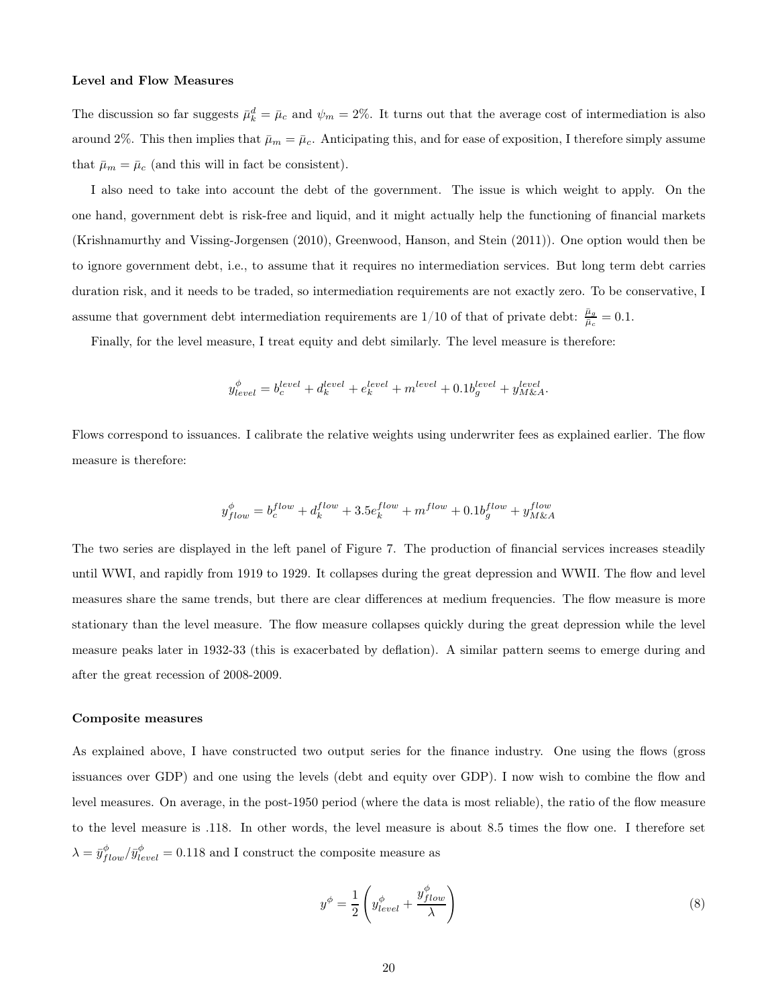#### Level and Flow Measures

The discussion so far suggests  $\bar{\mu}_k^d = \bar{\mu}_c$  and  $\psi_m = 2\%$ . It turns out that the average cost of intermediation is also around 2%. This then implies that  $\bar{\mu}_m = \bar{\mu}_c$ . Anticipating this, and for ease of exposition, I therefore simply assume that  $\bar{\mu}_m = \bar{\mu}_c$  (and this will in fact be consistent).

I also need to take into account the debt of the government. The issue is which weight to apply. On the one hand, government debt is risk-free and liquid, and it might actually help the functioning of financial markets (Krishnamurthy and Vissing-Jorgensen (2010), Greenwood, Hanson, and Stein (2011)). One option would then be to ignore government debt, i.e., to assume that it requires no intermediation services. But long term debt carries duration risk, and it needs to be traded, so intermediation requirements are not exactly zero. To be conservative, I assume that government debt intermediation requirements are  $1/10$  of that of private debt:  $\frac{\bar{\mu}_g}{\bar{\mu}_c} = 0.1$ .

Finally, for the level measure, I treat equity and debt similarly. The level measure is therefore:

$$
y_{level}^{\phi} = b_c^{level} + d_k^{level} + e_k^{level} + m^{level} + 0.1b_g^{level} + y_{M\&A}^{level}.
$$

Flows correspond to issuances. I calibrate the relative weights using underwriter fees as explained earlier. The flow measure is therefore:

$$
y^\phi_{flow} = b^{flow}_c + d^{flow}_k + 3.5e^{flow}_k + m^{flow} + 0.1b^{flow}_g + y^{flow}_{M\&A}
$$

The two series are displayed in the left panel of Figure 7. The production of financial services increases steadily until WWI, and rapidly from 1919 to 1929. It collapses during the great depression and WWII. The flow and level measures share the same trends, but there are clear differences at medium frequencies. The flow measure is more stationary than the level measure. The flow measure collapses quickly during the great depression while the level measure peaks later in 1932-33 (this is exacerbated by deflation). A similar pattern seems to emerge during and after the great recession of 2008-2009.

#### Composite measures

As explained above, I have constructed two output series for the finance industry. One using the flows (gross issuances over GDP) and one using the levels (debt and equity over GDP). I now wish to combine the flow and level measures. On average, in the post-1950 period (where the data is most reliable), the ratio of the flow measure to the level measure is .118. In other words, the level measure is about 8.5 times the flow one. I therefore set  $\lambda = \bar{y}_{flow}^{\phi}/\bar{y}_{level}^{\phi} = 0.118$  and I construct the composite measure as

$$
y^{\phi} = \frac{1}{2} \left( y_{level}^{\phi} + \frac{y_{flow}^{\phi}}{\lambda} \right)
$$
 (8)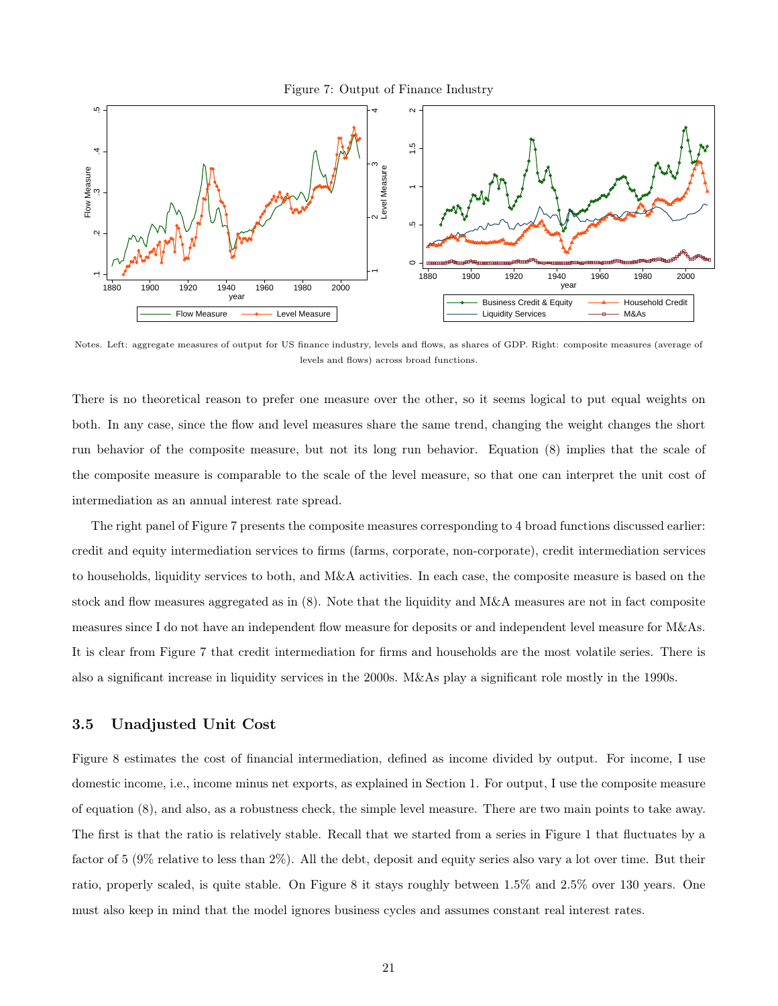Figure 7: Output of Finance Industry



Notes. Left: aggregate measures of output for US finance industry, levels and flows, as shares of GDP. Right: composite measures (average of levels and flows) across broad functions.

There is no theoretical reason to prefer one measure over the other, so it seems logical to put equal weights on both. In any case, since the flow and level measures share the same trend, changing the weight changes the short run behavior of the composite measure, but not its long run behavior. Equation (8) implies that the scale of the composite measure is comparable to the scale of the level measure, so that one can interpret the unit cost of intermediation as an annual interest rate spread.

The right panel of Figure 7 presents the composite measures corresponding to 4 broad functions discussed earlier: credit and equity intermediation services to firms (farms, corporate, non-corporate), credit intermediation services to households, liquidity services to both, and M&A activities. In each case, the composite measure is based on the stock and flow measures aggregated as in (8). Note that the liquidity and M&A measures are not in fact composite measures since I do not have an independent flow measure for deposits or and independent level measure for M&As. It is clear from Figure 7 that credit intermediation for firms and households are the most volatile series. There is also a significant increase in liquidity services in the 2000s. M&As play a significant role mostly in the 1990s.

#### 3.5 Unadjusted Unit Cost

Figure 8 estimates the cost of financial intermediation, defined as income divided by output. For income, I use domestic income, i.e., income minus net exports, as explained in Section 1. For output, I use the composite measure of equation (8), and also, as a robustness check, the simple level measure. There are two main points to take away. The first is that the ratio is relatively stable. Recall that we started from a series in Figure 1 that fluctuates by a factor of 5 (9% relative to less than 2%). All the debt, deposit and equity series also vary a lot over time. But their ratio, properly scaled, is quite stable. On Figure 8 it stays roughly between 1.5% and 2.5% over 130 years. One must also keep in mind that the model ignores business cycles and assumes constant real interest rates.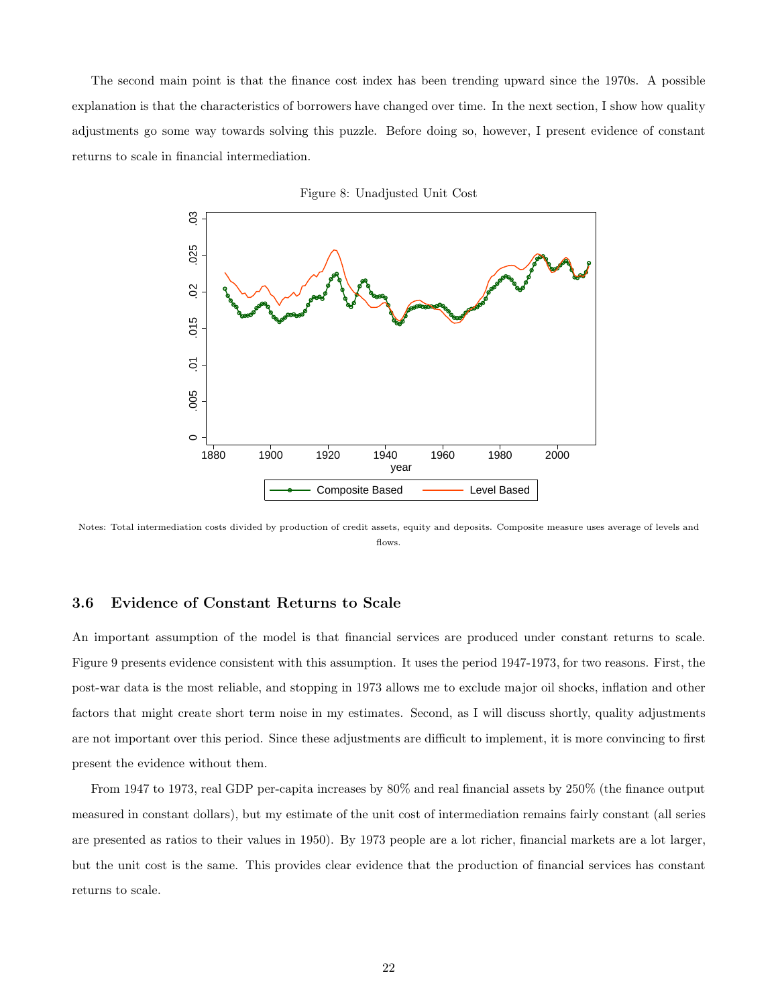The second main point is that the finance cost index has been trending upward since the 1970s. A possible explanation is that the characteristics of borrowers have changed over time. In the next section, I show how quality adjustments go some way towards solving this puzzle. Before doing so, however, I present evidence of constant returns to scale in financial intermediation.



Figure 8: Unadjusted Unit Cost

Notes: Total intermediation costs divided by production of credit assets, equity and deposits. Composite measure uses average of levels and flows.

#### 3.6 Evidence of Constant Returns to Scale

An important assumption of the model is that financial services are produced under constant returns to scale. Figure 9 presents evidence consistent with this assumption. It uses the period 1947-1973, for two reasons. First, the post-war data is the most reliable, and stopping in 1973 allows me to exclude major oil shocks, inflation and other factors that might create short term noise in my estimates. Second, as I will discuss shortly, quality adjustments are not important over this period. Since these adjustments are difficult to implement, it is more convincing to first present the evidence without them.

From 1947 to 1973, real GDP per-capita increases by 80% and real financial assets by 250% (the finance output measured in constant dollars), but my estimate of the unit cost of intermediation remains fairly constant (all series are presented as ratios to their values in 1950). By 1973 people are a lot richer, financial markets are a lot larger, but the unit cost is the same. This provides clear evidence that the production of financial services has constant returns to scale.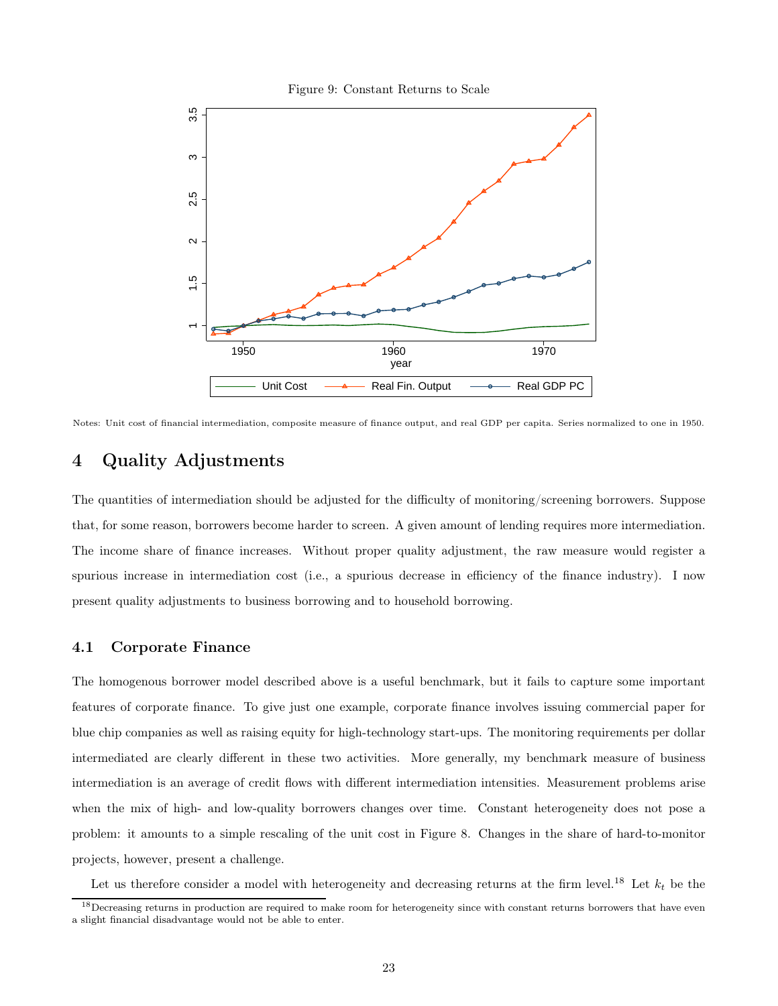Figure 9: Constant Returns to Scale



Notes: Unit cost of financial intermediation, composite measure of finance output, and real GDP per capita. Series normalized to one in 1950.

### 4 Quality Adjustments

The quantities of intermediation should be adjusted for the difficulty of monitoring/screening borrowers. Suppose that, for some reason, borrowers become harder to screen. A given amount of lending requires more intermediation. The income share of finance increases. Without proper quality adjustment, the raw measure would register a spurious increase in intermediation cost (i.e., a spurious decrease in efficiency of the finance industry). I now present quality adjustments to business borrowing and to household borrowing.

### 4.1 Corporate Finance

The homogenous borrower model described above is a useful benchmark, but it fails to capture some important features of corporate finance. To give just one example, corporate finance involves issuing commercial paper for blue chip companies as well as raising equity for high-technology start-ups. The monitoring requirements per dollar intermediated are clearly different in these two activities. More generally, my benchmark measure of business intermediation is an average of credit flows with different intermediation intensities. Measurement problems arise when the mix of high- and low-quality borrowers changes over time. Constant heterogeneity does not pose a problem: it amounts to a simple rescaling of the unit cost in Figure 8. Changes in the share of hard-to-monitor projects, however, present a challenge.

Let us therefore consider a model with heterogeneity and decreasing returns at the firm level.<sup>18</sup> Let  $k_t$  be the

<sup>&</sup>lt;sup>18</sup>Decreasing returns in production are required to make room for heterogeneity since with constant returns borrowers that have even a slight financial disadvantage would not be able to enter.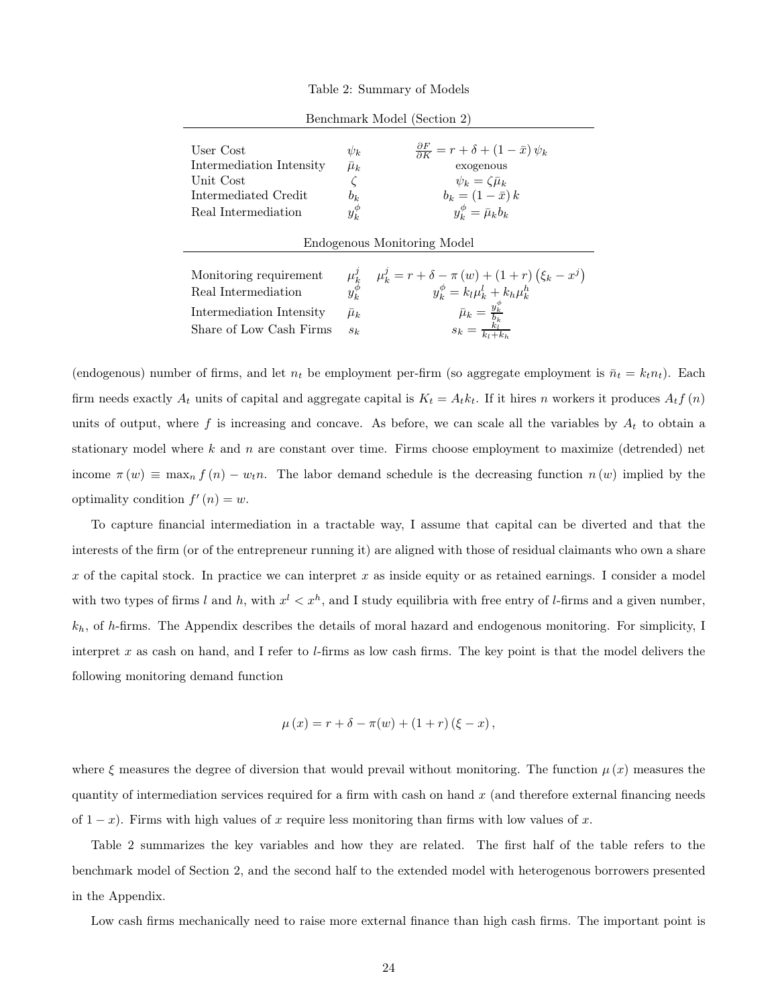Table 2: Summary of Models

| $\psi_k$<br>$\bar{\mu}_k$<br>$b_k$<br>$y_k^{\phi}$ | $\frac{\partial F}{\partial K} = r + \delta + (1 - \bar{x}) \psi_k$<br>exogenous<br>$\psi_k = \zeta \bar{\mu}_k$<br>$b_k = (1 - \bar{x}) k$<br>$y_k^{\phi} = \bar{\mu}_k b_k$                                                             |  |  |  |  |
|----------------------------------------------------|-------------------------------------------------------------------------------------------------------------------------------------------------------------------------------------------------------------------------------------------|--|--|--|--|
| Endogenous Monitoring Model                        |                                                                                                                                                                                                                                           |  |  |  |  |
|                                                    | $\begin{array}{ll} \mu_k^j & \mu_k^j = r + \delta - \pi \left( w \right) + \left( 1 + r \right) \left( \xi_k - x^j \right) \\ y_k^\phi & y_k^\phi = k_l \mu_k^l + k_h \mu_k^h \end{array}$<br>$y_k^{\phi} = k_l \mu_k^l + k_h \mu_k^{h'}$ |  |  |  |  |
| $\mu_k$                                            | $\bar{\mu}_k = \frac{y_k^{\phi}}{b_k}$<br>$s_k = \frac{k_l}{k_l + k_h}$                                                                                                                                                                   |  |  |  |  |
|                                                    |                                                                                                                                                                                                                                           |  |  |  |  |

Benchmark Model (Section 2)

(endogenous) number of firms, and let  $n_t$  be employment per-firm (so aggregate employment is  $\bar{n}_t = k_t n_t$ ). Each firm needs exactly  $A_t$  units of capital and aggregate capital is  $K_t = A_t k_t$ . If it hires n workers it produces  $A_t f(n)$ units of output, where f is increasing and concave. As before, we can scale all the variables by  $A_t$  to obtain a stationary model where k and n are constant over time. Firms choose employment to maximize (detrended) net income  $\pi(w) \equiv \max_n f(n) - w_t n$ . The labor demand schedule is the decreasing function  $n(w)$  implied by the optimality condition  $f'(n) = w$ .

To capture financial intermediation in a tractable way, I assume that capital can be diverted and that the interests of the firm (or of the entrepreneur running it) are aligned with those of residual claimants who own a share  $x$  of the capital stock. In practice we can interpret  $x$  as inside equity or as retained earnings. I consider a model with two types of firms l and h, with  $x^l < x^h$ , and I study equilibria with free entry of l-firms and a given number,  $k_h$ , of h-firms. The Appendix describes the details of moral hazard and endogenous monitoring. For simplicity, I interpret x as cash on hand, and I refer to  $l$ -firms as low cash firms. The key point is that the model delivers the following monitoring demand function

$$
\mu(x) = r + \delta - \pi(w) + (1+r)(\xi - x),
$$

where  $\xi$  measures the degree of diversion that would prevail without monitoring. The function  $\mu(x)$  measures the quantity of intermediation services required for a firm with cash on hand  $x$  (and therefore external financing needs of  $1-x$ ). Firms with high values of x require less monitoring than firms with low values of x.

Table 2 summarizes the key variables and how they are related. The first half of the table refers to the benchmark model of Section 2, and the second half to the extended model with heterogenous borrowers presented in the Appendix.

Low cash firms mechanically need to raise more external finance than high cash firms. The important point is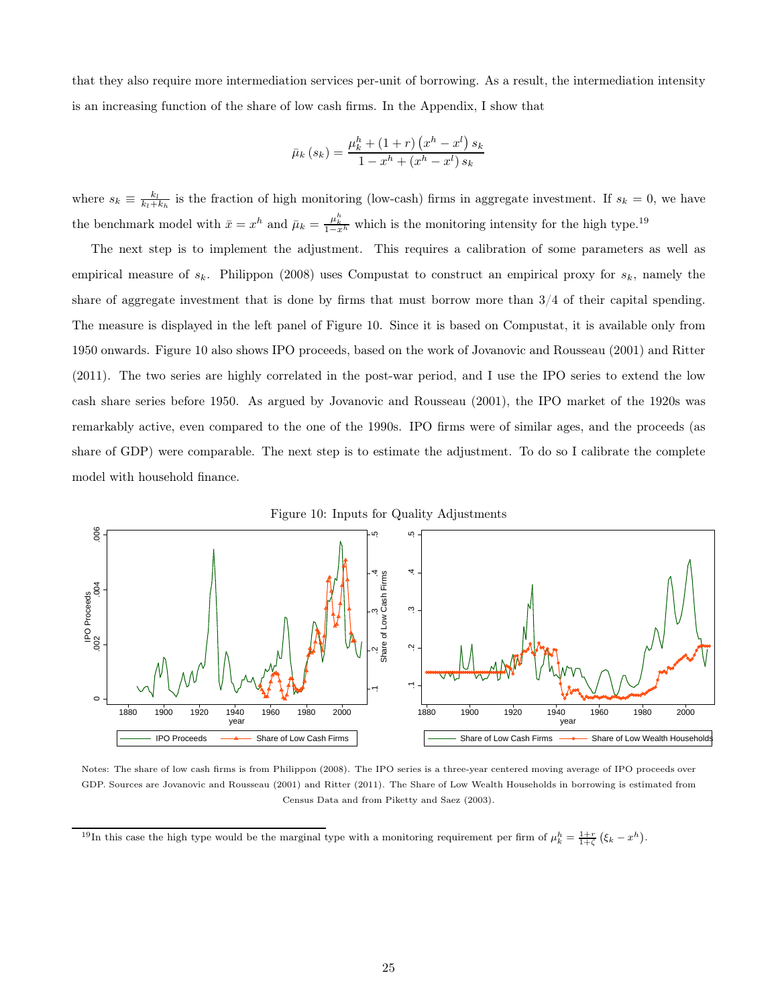that they also require more intermediation services per-unit of borrowing. As a result, the intermediation intensity is an increasing function of the share of low cash firms. In the Appendix, I show that

$$
\bar{\mu}_{k}(s_{k}) = \frac{\mu_{k}^{h} + (1+r) (x^{h} - x^{l}) s_{k}}{1 - x^{h} + (x^{h} - x^{l}) s_{k}}
$$

where  $s_k \equiv \frac{k_l}{k_l + k_h}$  is the fraction of high monitoring (low-cash) firms in aggregate investment. If  $s_k = 0$ , we have the benchmark model with  $\bar{x} = x^h$  and  $\bar{\mu}_k = \frac{\mu_k^h}{1 - x^h}$  which is the monitoring intensity for the high type.<sup>19</sup>

The next step is to implement the adjustment. This requires a calibration of some parameters as well as empirical measure of  $s_k$ . Philippon (2008) uses Compustat to construct an empirical proxy for  $s_k$ , namely the share of aggregate investment that is done by firms that must borrow more than 3/4 of their capital spending. The measure is displayed in the left panel of Figure 10. Since it is based on Compustat, it is available only from 1950 onwards. Figure 10 also shows IPO proceeds, based on the work of Jovanovic and Rousseau (2001) and Ritter (2011). The two series are highly correlated in the post-war period, and I use the IPO series to extend the low cash share series before 1950. As argued by Jovanovic and Rousseau (2001), the IPO market of the 1920s was remarkably active, even compared to the one of the 1990s. IPO firms were of similar ages, and the proceeds (as share of GDP) were comparable. The next step is to estimate the adjustment. To do so I calibrate the complete model with household finance.



Notes: The share of low cash firms is from Philippon (2008). The IPO series is a three-year centered moving average of IPO proceeds over GDP. Sources are Jovanovic and Rousseau (2001) and Ritter (2011). The Share of Low Wealth Households in borrowing is estimated from Census Data and from Piketty and Saez (2003).

<sup>19</sup>In this case the high type would be the marginal type with a monitoring requirement per firm of  $\mu_k^h = \frac{1+r}{1+\zeta} (\xi_k - x^h)$ .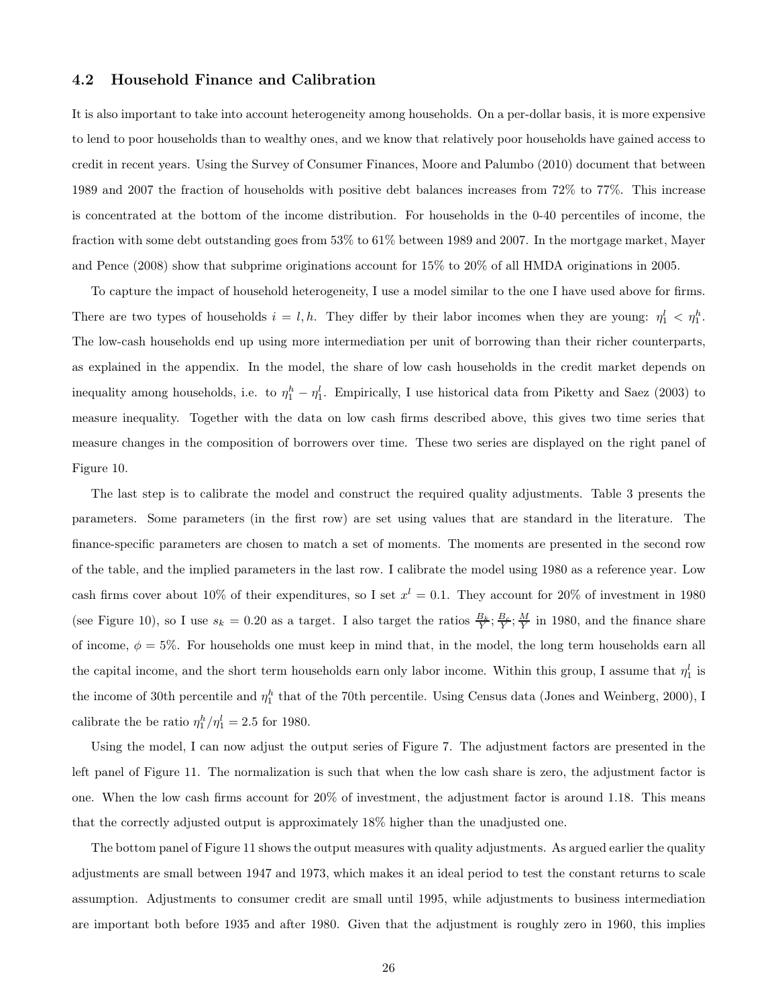#### 4.2 Household Finance and Calibration

It is also important to take into account heterogeneity among households. On a per-dollar basis, it is more expensive to lend to poor households than to wealthy ones, and we know that relatively poor households have gained access to credit in recent years. Using the Survey of Consumer Finances, Moore and Palumbo (2010) document that between 1989 and 2007 the fraction of households with positive debt balances increases from 72% to 77%. This increase is concentrated at the bottom of the income distribution. For households in the 0-40 percentiles of income, the fraction with some debt outstanding goes from 53% to 61% between 1989 and 2007. In the mortgage market, Mayer and Pence (2008) show that subprime originations account for 15% to 20% of all HMDA originations in 2005.

To capture the impact of household heterogeneity, I use a model similar to the one I have used above for firms. There are two types of households  $i = l, h$ . They differ by their labor incomes when they are young:  $\eta_1^l < \eta_1^h$ . The low-cash households end up using more intermediation per unit of borrowing than their richer counterparts, as explained in the appendix. In the model, the share of low cash households in the credit market depends on inequality among households, i.e. to  $\eta_1^h - \eta_1^l$ . Empirically, I use historical data from Piketty and Saez (2003) to measure inequality. Together with the data on low cash firms described above, this gives two time series that measure changes in the composition of borrowers over time. These two series are displayed on the right panel of Figure 10.

The last step is to calibrate the model and construct the required quality adjustments. Table 3 presents the parameters. Some parameters (in the first row) are set using values that are standard in the literature. The finance-specific parameters are chosen to match a set of moments. The moments are presented in the second row of the table, and the implied parameters in the last row. I calibrate the model using 1980 as a reference year. Low cash firms cover about 10% of their expenditures, so I set  $x^l = 0.1$ . They account for 20% of investment in 1980 (see Figure 10), so I use  $s_k = 0.20$  as a target. I also target the ratios  $\frac{B_k}{Y}; \frac{B_c}{Y}; \frac{M}{Y}$  in 1980, and the finance share of income,  $\phi = 5\%$ . For households one must keep in mind that, in the model, the long term households earn all the capital income, and the short term households earn only labor income. Within this group, I assume that  $\eta_1^l$  is the income of 30th percentile and  $\eta_1^h$  that of the 70th percentile. Using Census data (Jones and Weinberg, 2000), I calibrate the be ratio  $\eta_1^h / \eta_1^l = 2.5$  for 1980.

Using the model, I can now adjust the output series of Figure 7. The adjustment factors are presented in the left panel of Figure 11. The normalization is such that when the low cash share is zero, the adjustment factor is one. When the low cash firms account for 20% of investment, the adjustment factor is around 1.18. This means that the correctly adjusted output is approximately 18% higher than the unadjusted one.

The bottom panel of Figure 11 shows the output measures with quality adjustments. As argued earlier the quality adjustments are small between 1947 and 1973, which makes it an ideal period to test the constant returns to scale assumption. Adjustments to consumer credit are small until 1995, while adjustments to business intermediation are important both before 1935 and after 1980. Given that the adjustment is roughly zero in 1960, this implies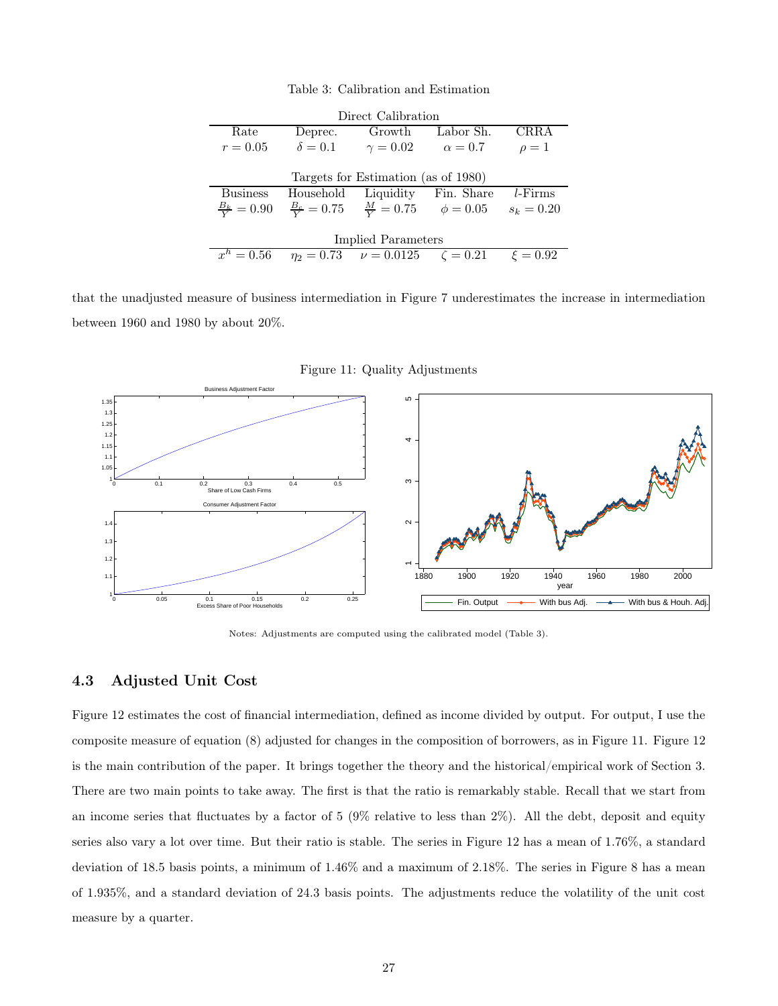Table 3: Calibration and Estimation

|                                     |                | Direct Calibration                                        |                |              |  |  |  |
|-------------------------------------|----------------|-----------------------------------------------------------|----------------|--------------|--|--|--|
| Rate                                | Deprec.        | Growth                                                    | Labor Sh.      | CRRA         |  |  |  |
| $r = 0.05$                          | $\delta = 0.1$ | $\gamma = 0.02$                                           | $\alpha = 0.7$ | $\rho=1$     |  |  |  |
|                                     |                |                                                           |                |              |  |  |  |
| Targets for Estimation (as of 1980) |                |                                                           |                |              |  |  |  |
|                                     |                |                                                           |                |              |  |  |  |
| <b>Business</b>                     |                | Household Liquidity Fin. Share                            |                | $l$ -Firms   |  |  |  |
| $\frac{B_k}{V} = 0.90$              |                | $\frac{B_c}{V} = 0.75$ $\frac{M}{V} = 0.75$ $\phi = 0.05$ |                | $s_k = 0.20$ |  |  |  |
|                                     |                |                                                           |                |              |  |  |  |
|                                     |                | Implied Parameters                                        |                |              |  |  |  |

that the unadjusted measure of business intermediation in Figure 7 underestimates the increase in intermediation between 1960 and 1980 by about 20%.



Figure 11: Quality Adjustments

Notes: Adjustments are computed using the calibrated model (Table 3).

#### 4.3 Adjusted Unit Cost

Figure 12 estimates the cost of financial intermediation, defined as income divided by output. For output, I use the composite measure of equation (8) adjusted for changes in the composition of borrowers, as in Figure 11. Figure 12 is the main contribution of the paper. It brings together the theory and the historical/empirical work of Section 3. There are two main points to take away. The first is that the ratio is remarkably stable. Recall that we start from an income series that fluctuates by a factor of  $5 \ (9\% \)$  relative to less than  $2\%)$ . All the debt, deposit and equity series also vary a lot over time. But their ratio is stable. The series in Figure 12 has a mean of 1.76%, a standard deviation of 18.5 basis points, a minimum of 1.46% and a maximum of 2.18%. The series in Figure 8 has a mean of 1.935%, and a standard deviation of 24.3 basis points. The adjustments reduce the volatility of the unit cost measure by a quarter.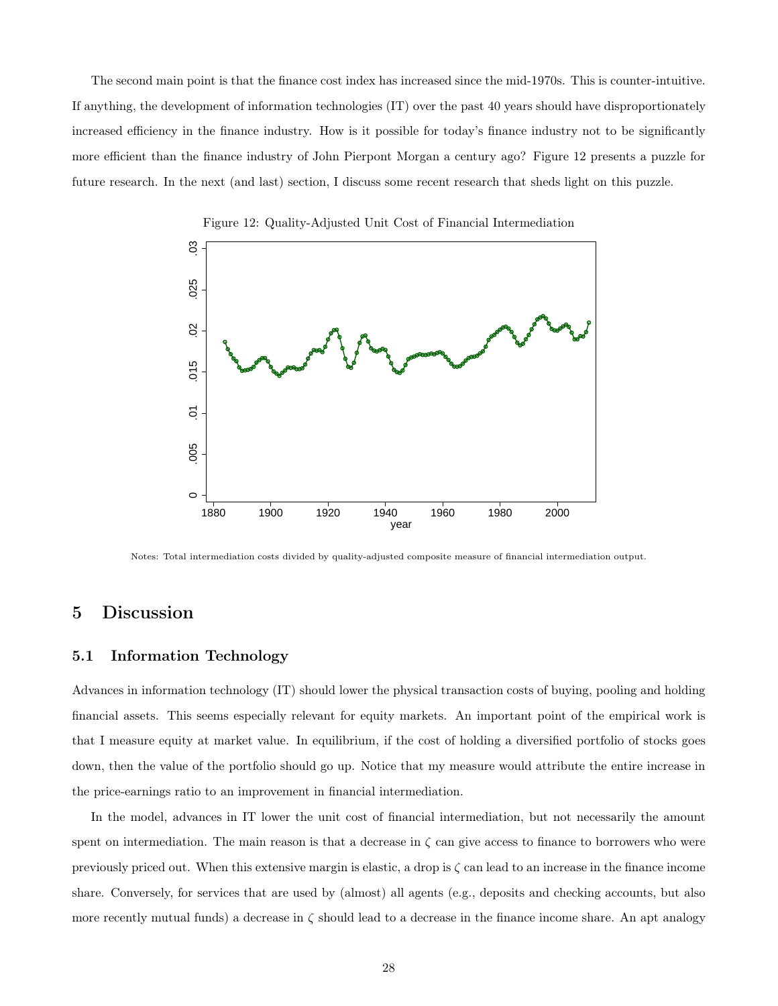The second main point is that the finance cost index has increased since the mid-1970s. This is counter-intuitive. If anything, the development of information technologies (IT) over the past 40 years should have disproportionately increased efficiency in the finance industry. How is it possible for today's finance industry not to be significantly more efficient than the finance industry of John Pierpont Morgan a century ago? Figure 12 presents a puzzle for future research. In the next (and last) section, I discuss some recent research that sheds light on this puzzle.



Figure 12: Quality-Adjusted Unit Cost of Financial Intermediation

Notes: Total intermediation costs divided by quality-adjusted composite measure of financial intermediation output.

### 5 Discussion

#### 5.1 Information Technology

Advances in information technology (IT) should lower the physical transaction costs of buying, pooling and holding financial assets. This seems especially relevant for equity markets. An important point of the empirical work is that I measure equity at market value. In equilibrium, if the cost of holding a diversified portfolio of stocks goes down, then the value of the portfolio should go up. Notice that my measure would attribute the entire increase in the price-earnings ratio to an improvement in financial intermediation.

In the model, advances in IT lower the unit cost of financial intermediation, but not necessarily the amount spent on intermediation. The main reason is that a decrease in  $\zeta$  can give access to finance to borrowers who were previously priced out. When this extensive margin is elastic, a drop is  $\zeta$  can lead to an increase in the finance income share. Conversely, for services that are used by (almost) all agents (e.g., deposits and checking accounts, but also more recently mutual funds) a decrease in  $\zeta$  should lead to a decrease in the finance income share. An apt analogy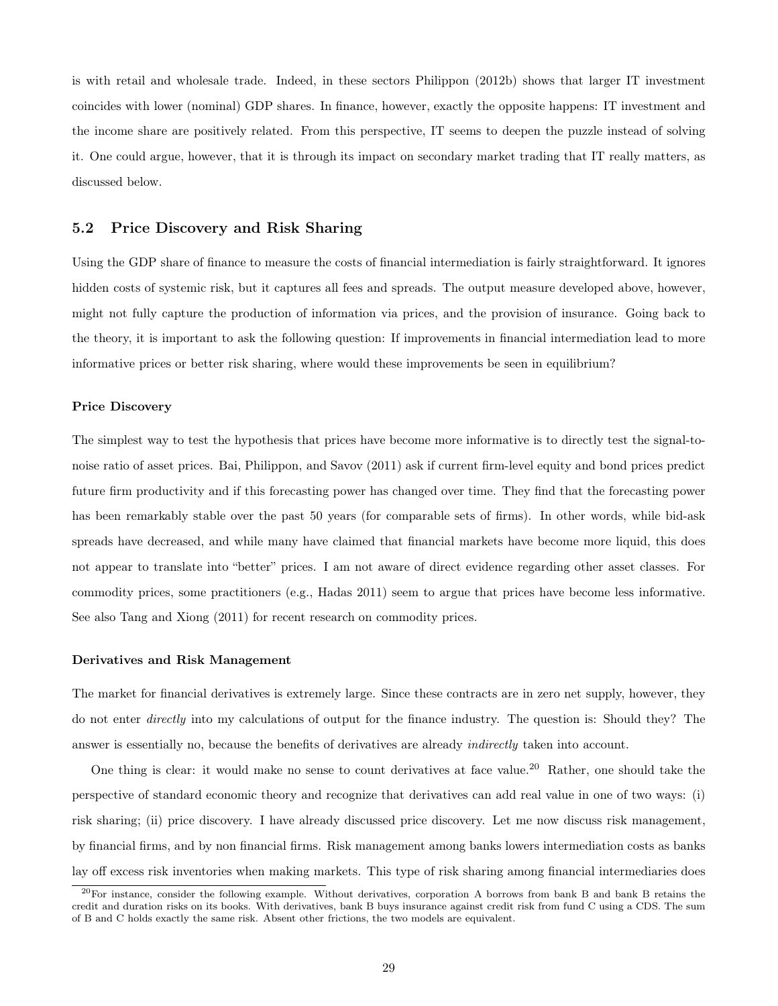is with retail and wholesale trade. Indeed, in these sectors Philippon (2012b) shows that larger IT investment coincides with lower (nominal) GDP shares. In finance, however, exactly the opposite happens: IT investment and the income share are positively related. From this perspective, IT seems to deepen the puzzle instead of solving it. One could argue, however, that it is through its impact on secondary market trading that IT really matters, as discussed below.

#### 5.2 Price Discovery and Risk Sharing

Using the GDP share of finance to measure the costs of financial intermediation is fairly straightforward. It ignores hidden costs of systemic risk, but it captures all fees and spreads. The output measure developed above, however, might not fully capture the production of information via prices, and the provision of insurance. Going back to the theory, it is important to ask the following question: If improvements in financial intermediation lead to more informative prices or better risk sharing, where would these improvements be seen in equilibrium?

#### Price Discovery

The simplest way to test the hypothesis that prices have become more informative is to directly test the signal-tonoise ratio of asset prices. Bai, Philippon, and Savov (2011) ask if current firm-level equity and bond prices predict future firm productivity and if this forecasting power has changed over time. They find that the forecasting power has been remarkably stable over the past 50 years (for comparable sets of firms). In other words, while bid-ask spreads have decreased, and while many have claimed that financial markets have become more liquid, this does not appear to translate into "better" prices. I am not aware of direct evidence regarding other asset classes. For commodity prices, some practitioners (e.g., Hadas 2011) seem to argue that prices have become less informative. See also Tang and Xiong (2011) for recent research on commodity prices.

#### Derivatives and Risk Management

The market for financial derivatives is extremely large. Since these contracts are in zero net supply, however, they do not enter directly into my calculations of output for the finance industry. The question is: Should they? The answer is essentially no, because the benefits of derivatives are already indirectly taken into account.

One thing is clear: it would make no sense to count derivatives at face value.<sup>20</sup> Rather, one should take the perspective of standard economic theory and recognize that derivatives can add real value in one of two ways: (i) risk sharing; (ii) price discovery. I have already discussed price discovery. Let me now discuss risk management, by financial firms, and by non financial firms. Risk management among banks lowers intermediation costs as banks lay off excess risk inventories when making markets. This type of risk sharing among financial intermediaries does

 $^{20}$  For instance, consider the following example. Without derivatives, corporation A borrows from bank B and bank B retains the credit and duration risks on its books. With derivatives, bank B buys insurance against credit risk from fund C using a CDS. The sum of B and C holds exactly the same risk. Absent other frictions, the two models are equivalent.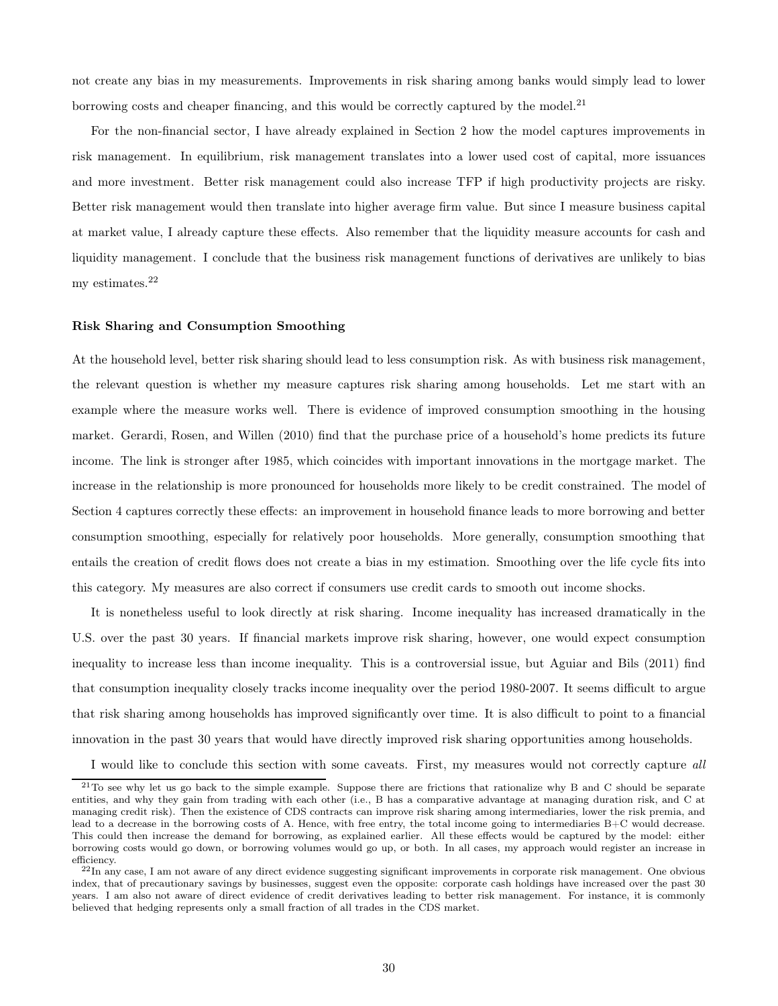not create any bias in my measurements. Improvements in risk sharing among banks would simply lead to lower borrowing costs and cheaper financing, and this would be correctly captured by the model.<sup>21</sup>

For the non-financial sector, I have already explained in Section 2 how the model captures improvements in risk management. In equilibrium, risk management translates into a lower used cost of capital, more issuances and more investment. Better risk management could also increase TFP if high productivity projects are risky. Better risk management would then translate into higher average firm value. But since I measure business capital at market value, I already capture these effects. Also remember that the liquidity measure accounts for cash and liquidity management. I conclude that the business risk management functions of derivatives are unlikely to bias my estimates.<sup>22</sup>

#### Risk Sharing and Consumption Smoothing

At the household level, better risk sharing should lead to less consumption risk. As with business risk management, the relevant question is whether my measure captures risk sharing among households. Let me start with an example where the measure works well. There is evidence of improved consumption smoothing in the housing market. Gerardi, Rosen, and Willen (2010) find that the purchase price of a household's home predicts its future income. The link is stronger after 1985, which coincides with important innovations in the mortgage market. The increase in the relationship is more pronounced for households more likely to be credit constrained. The model of Section 4 captures correctly these effects: an improvement in household finance leads to more borrowing and better consumption smoothing, especially for relatively poor households. More generally, consumption smoothing that entails the creation of credit flows does not create a bias in my estimation. Smoothing over the life cycle fits into this category. My measures are also correct if consumers use credit cards to smooth out income shocks.

It is nonetheless useful to look directly at risk sharing. Income inequality has increased dramatically in the U.S. over the past 30 years. If financial markets improve risk sharing, however, one would expect consumption inequality to increase less than income inequality. This is a controversial issue, but Aguiar and Bils (2011) find that consumption inequality closely tracks income inequality over the period 1980-2007. It seems difficult to argue that risk sharing among households has improved significantly over time. It is also difficult to point to a financial innovation in the past 30 years that would have directly improved risk sharing opportunities among households.

I would like to conclude this section with some caveats. First, my measures would not correctly capture all

<sup>&</sup>lt;sup>21</sup>To see why let us go back to the simple example. Suppose there are frictions that rationalize why B and C should be separate entities, and why they gain from trading with each other (i.e., B has a comparative advantage at managing duration risk, and C at managing credit risk). Then the existence of CDS contracts can improve risk sharing among intermediaries, lower the risk premia, and lead to a decrease in the borrowing costs of A. Hence, with free entry, the total income going to intermediaries B+C would decrease. This could then increase the demand for borrowing, as explained earlier. All these effects would be captured by the model: either borrowing costs would go down, or borrowing volumes would go up, or both. In all cases, my approach would register an increase in efficiency.

 $^{22}$ In any case, I am not aware of any direct evidence suggesting significant improvements in corporate risk management. One obvious index, that of precautionary savings by businesses, suggest even the opposite: corporate cash holdings have increased over the past 30 years. I am also not aware of direct evidence of credit derivatives leading to better risk management. For instance, it is commonly believed that hedging represents only a small fraction of all trades in the CDS market.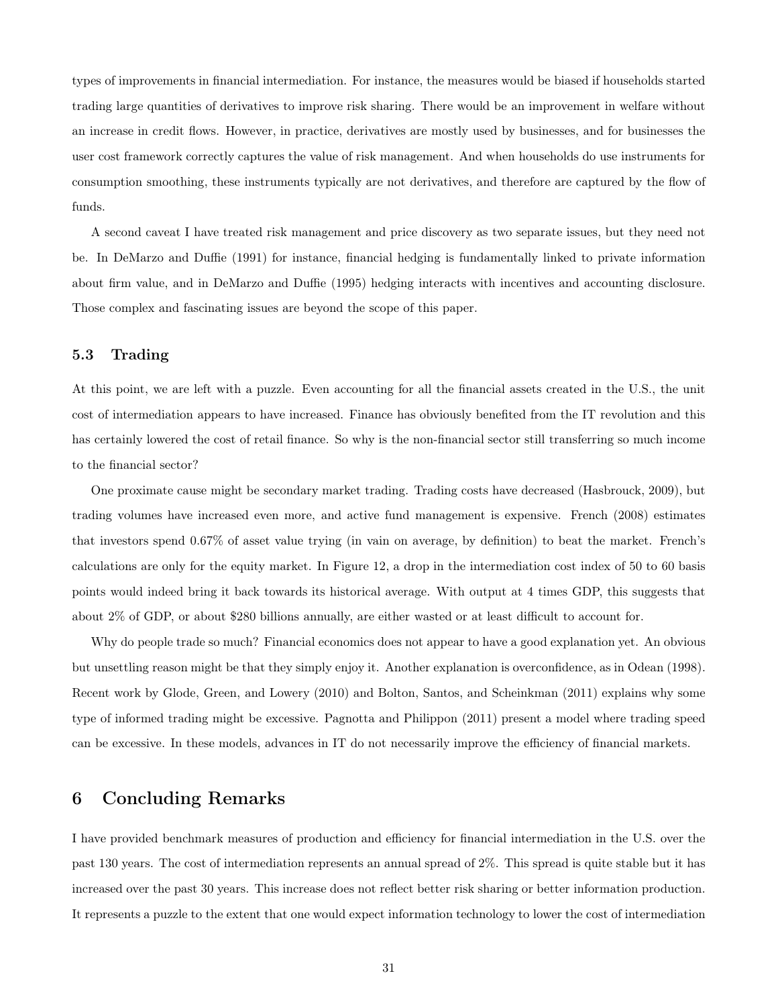types of improvements in financial intermediation. For instance, the measures would be biased if households started trading large quantities of derivatives to improve risk sharing. There would be an improvement in welfare without an increase in credit flows. However, in practice, derivatives are mostly used by businesses, and for businesses the user cost framework correctly captures the value of risk management. And when households do use instruments for consumption smoothing, these instruments typically are not derivatives, and therefore are captured by the flow of funds.

A second caveat I have treated risk management and price discovery as two separate issues, but they need not be. In DeMarzo and Duffie (1991) for instance, financial hedging is fundamentally linked to private information about firm value, and in DeMarzo and Duffie (1995) hedging interacts with incentives and accounting disclosure. Those complex and fascinating issues are beyond the scope of this paper.

#### 5.3 Trading

At this point, we are left with a puzzle. Even accounting for all the financial assets created in the U.S., the unit cost of intermediation appears to have increased. Finance has obviously benefited from the IT revolution and this has certainly lowered the cost of retail finance. So why is the non-financial sector still transferring so much income to the financial sector?

One proximate cause might be secondary market trading. Trading costs have decreased (Hasbrouck, 2009), but trading volumes have increased even more, and active fund management is expensive. French (2008) estimates that investors spend 0.67% of asset value trying (in vain on average, by definition) to beat the market. French's calculations are only for the equity market. In Figure 12, a drop in the intermediation cost index of 50 to 60 basis points would indeed bring it back towards its historical average. With output at 4 times GDP, this suggests that about 2% of GDP, or about \$280 billions annually, are either wasted or at least difficult to account for.

Why do people trade so much? Financial economics does not appear to have a good explanation yet. An obvious but unsettling reason might be that they simply enjoy it. Another explanation is overconfidence, as in Odean (1998). Recent work by Glode, Green, and Lowery (2010) and Bolton, Santos, and Scheinkman (2011) explains why some type of informed trading might be excessive. Pagnotta and Philippon (2011) present a model where trading speed can be excessive. In these models, advances in IT do not necessarily improve the efficiency of financial markets.

### 6 Concluding Remarks

I have provided benchmark measures of production and efficiency for financial intermediation in the U.S. over the past 130 years. The cost of intermediation represents an annual spread of 2%. This spread is quite stable but it has increased over the past 30 years. This increase does not reflect better risk sharing or better information production. It represents a puzzle to the extent that one would expect information technology to lower the cost of intermediation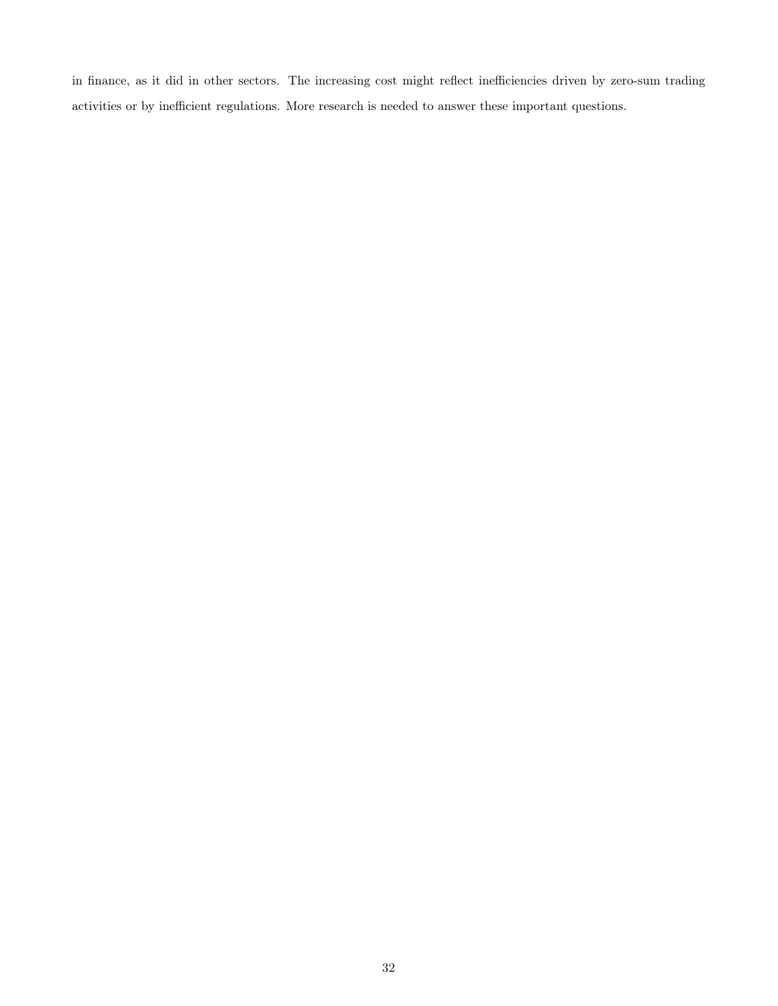in finance, as it did in other sectors. The increasing cost might reflect inefficiencies driven by zero-sum trading activities or by inefficient regulations. More research is needed to answer these important questions.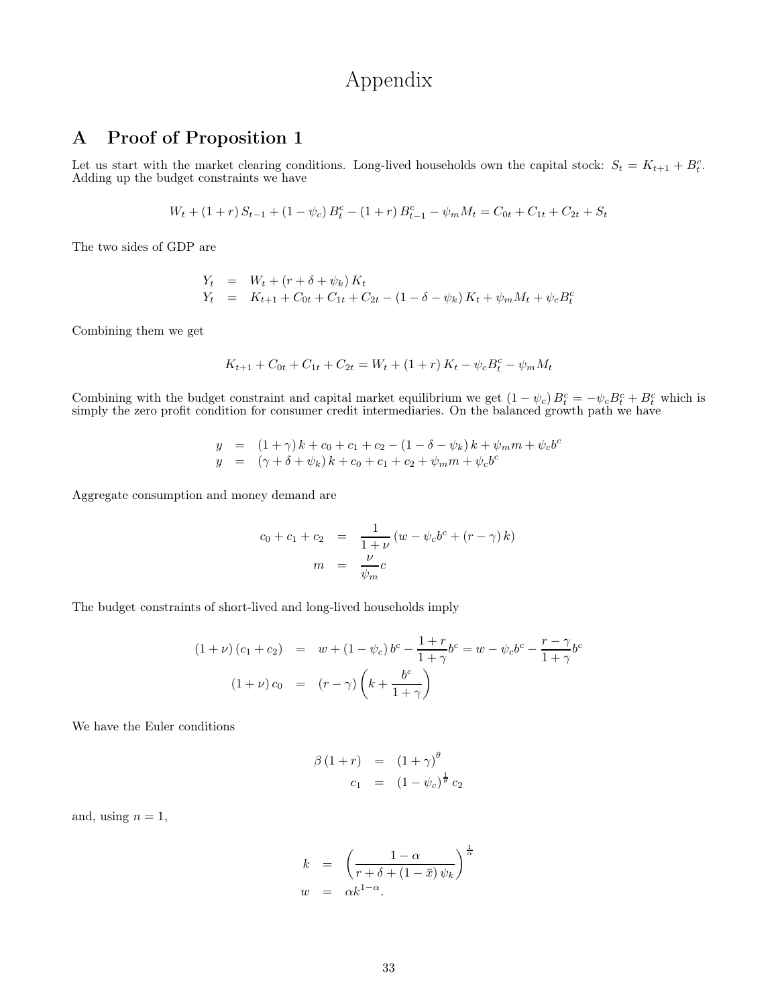## Appendix

### A Proof of Proposition 1

Let us start with the market clearing conditions. Long-lived households own the capital stock:  $S_t = K_{t+1} + B_t^c$ . Adding up the budget constraints we have

$$
W_t + (1+r) S_{t-1} + (1-\psi_c) B_t^c - (1+r) B_{t-1}^c - \psi_m M_t = C_{0t} + C_{1t} + C_{2t} + S_t
$$

The two sides of GDP are

$$
Y_t = W_t + (r + \delta + \psi_k) K_t
$$
  
\n
$$
Y_t = K_{t+1} + C_{0t} + C_{1t} + C_{2t} - (1 - \delta - \psi_k) K_t + \psi_m M_t + \psi_c B_t^c
$$

Combining them we get

$$
K_{t+1} + C_{0t} + C_{1t} + C_{2t} = W_t + (1+r) K_t - \psi_c B_t^c - \psi_m M_t
$$

Combining with the budget constraint and capital market equilibrium we get  $(1 - \psi_c) B_t^c = -\psi_c B_t^c + B_t^c$  which is simply the zero profit condition for consumer credit intermediaries. On the balanced growth path we have

$$
y = (1+\gamma) k + c_0 + c_1 + c_2 - (1 - \delta - \psi_k) k + \psi_m m + \psi_c b^c
$$
  

$$
y = (\gamma + \delta + \psi_k) k + c_0 + c_1 + c_2 + \psi_m m + \psi_c b^c
$$

Aggregate consumption and money demand are

$$
c_0 + c_1 + c_2 = \frac{1}{1+\nu} (w - \psi_c b^c + (r - \gamma) k)
$$

$$
m = \frac{\nu}{\psi_m} c
$$

The budget constraints of short-lived and long-lived households imply

$$
(1 + \nu)(c_1 + c_2) = w + (1 - \psi_c) b^c - \frac{1 + r}{1 + \gamma} b^c = w - \psi_c b^c - \frac{r - \gamma}{1 + \gamma} b^c
$$

$$
(1 + \nu)c_0 = (r - \gamma) \left(k + \frac{b^c}{1 + \gamma}\right)
$$

We have the Euler conditions

$$
\beta (1+r) = (1+\gamma)^{\theta}
$$
  

$$
c_1 = (1-\psi_c)^{\frac{1}{\theta}} c_2
$$

and, using  $n = 1$ ,

$$
k = \left(\frac{1-\alpha}{r+\delta+(1-\bar{x})\,\psi_k}\right)^{\frac{1}{\alpha}}
$$
  

$$
w = \alpha k^{1-\alpha}.
$$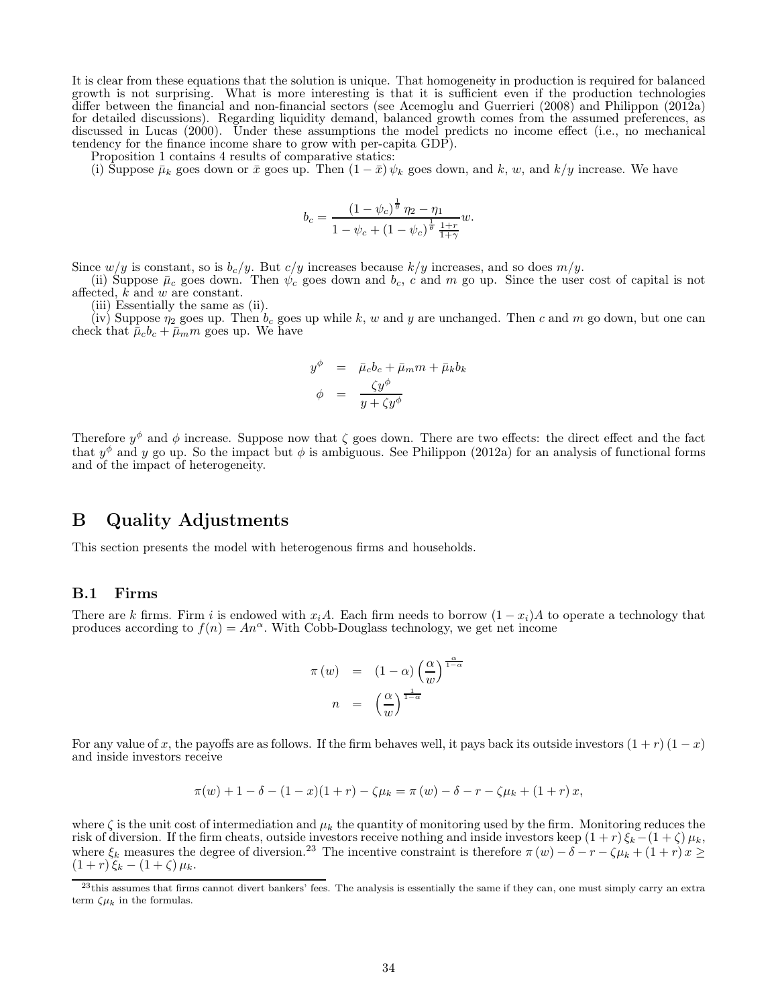It is clear from these equations that the solution is unique. That homogeneity in production is required for balanced growth is not surprising. What is more interesting is that it is sufficient even if the production technologies differ between the financial and non-financial sectors (see Acemoglu and Guerrieri (2008) and Philippon (2012a) for detailed discussions). Regarding liquidity demand, balanced growth comes from the assumed preferences, as discussed in Lucas (2000). Under these assumptions the model predicts no income effect (i.e., no mechanical tendency for the finance income share to grow with per-capita GDP).

Proposition 1 contains 4 results of comparative statics:

(i) Suppose  $\bar{\mu}_k$  goes down or  $\bar{x}$  goes up. Then  $(1 - \bar{x}) \psi_k$  goes down, and k, w, and k/y increase. We have

$$
b_c = \frac{(1 - \psi_c)^{\frac{1}{\theta}} \eta_2 - \eta_1}{1 - \psi_c + (1 - \psi_c)^{\frac{1}{\theta}} \frac{1+r}{1+\gamma}} w.
$$

Since  $w/y$  is constant, so is  $b_c/y$ . But  $c/y$  increases because  $k/y$  increases, and so does  $m/y$ .

(ii) Suppose  $\bar{\mu}_c$  goes down. Then  $\psi_c$  goes down and  $b_c$ , c and m go up. Since the user cost of capital is not affected,  $k$  and  $w$  are constant.

(iii) Essentially the same as (ii).

(iv) Suppose  $\eta_2$  goes up. Then  $b_c$  goes up while k, w and y are unchanged. Then c and m go down, but one can check that  $\bar{\mu}_c b_c + \bar{\mu}_m m$  goes up. We have

$$
y^{\phi} = \bar{\mu}_c b_c + \bar{\mu}_m m + \bar{\mu}_k b_k
$$
  

$$
\phi = \frac{\zeta y^{\phi}}{y + \zeta y^{\phi}}
$$

Therefore  $y^{\phi}$  and  $\phi$  increase. Suppose now that  $\zeta$  goes down. There are two effects: the direct effect and the fact that  $y^{\phi}$  and y go up. So the impact but  $\phi$  is ambiguous. See Philippon (2012a) for an analysis of functional forms and of the impact of heterogeneity.

### B Quality Adjustments

This section presents the model with heterogenous firms and households.

#### B.1 Firms

There are k firms. Firm i is endowed with  $x_iA$ . Each firm needs to borrow  $(1-x_i)A$  to operate a technology that produces according to  $f(n) = An^{\alpha}$ . With Cobb-Douglass technology, we get net income

$$
\pi(w) = (1 - \alpha) \left(\frac{\alpha}{w}\right)^{\frac{\alpha}{1 - \alpha}}
$$

$$
n = \left(\frac{\alpha}{w}\right)^{\frac{1}{1 - \alpha}}
$$

For any value of x, the payoffs are as follows. If the firm behaves well, it pays back its outside investors  $(1 + r)(1 - x)$ and inside investors receive

$$
\pi(w) + 1 - \delta - (1 - x)(1 + r) - \zeta \mu_k = \pi(w) - \delta - r - \zeta \mu_k + (1 + r)x,
$$

where  $\zeta$  is the unit cost of intermediation and  $\mu_k$  the quantity of monitoring used by the firm. Monitoring reduces the risk of diversion. If the firm cheats, outside investors receive nothing and inside investors keep  $(1 + r)\xi_k-(1+\zeta)\mu_k$ , where  $\xi_k$  measures the degree of diversion.<sup>23</sup> The incentive constraint is therefore  $\pi(w) - \hat{\delta} - r - \zeta \mu_k + (1+r)x \geq$  $(1 + r)\xi_k - (1 + \zeta)\mu_k.$ 

<sup>&</sup>lt;sup>23</sup>this assumes that firms cannot divert bankers' fees. The analysis is essentially the same if they can, one must simply carry an extra term  $\zeta \mu_k$  in the formulas.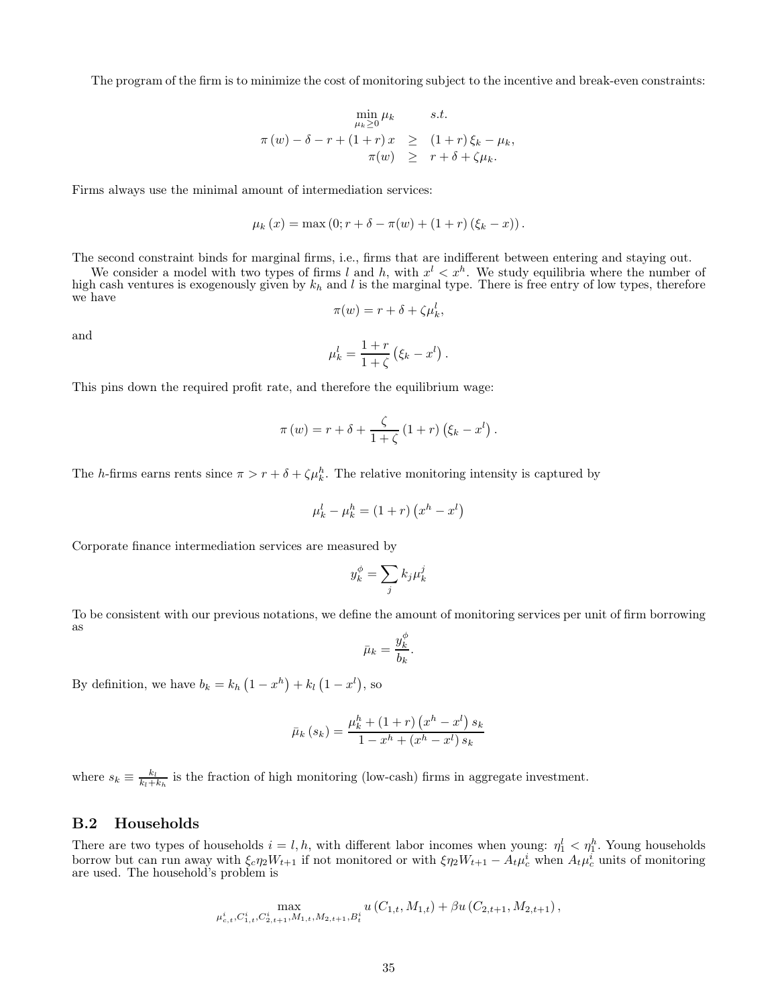The program of the firm is to minimize the cost of monitoring subject to the incentive and break-even constraints:

$$
\min_{\mu_k \geq 0} \mu_k \qquad s.t.
$$
  

$$
\pi(w) - \delta - r + (1+r)x \geq (1+r)\xi_k - \mu_k,
$$
  

$$
\pi(w) \geq r + \delta + \zeta \mu_k.
$$

Firms always use the minimal amount of intermediation services:

$$
\mu_k(x) = \max(0; r + \delta - \pi(w) + (1+r)(\xi_k - x)).
$$

The second constraint binds for marginal firms, i.e., firms that are indifferent between entering and staying out.

We consider a model with two types of firms l and h, with  $x^{l} < x^{h}$ . We study equilibria where the number of high cash ventures is exogenously given by  $k_h$  and l is the marginal type. There is free entry of low types, therefore we have

$$
\pi(w) = r + \delta + \zeta \mu_k^l,
$$

and

$$
\mu_k^l = \frac{1+r}{1+\zeta} \left( \xi_k - x^l \right).
$$

This pins down the required profit rate, and therefore the equilibrium wage:

$$
\pi(w) = r + \delta + \frac{\zeta}{1+\zeta} (1+r) (\xi_k - x^l).
$$

The h-firms earns rents since  $\pi > r + \delta + \zeta \mu_k^h$ . The relative monitoring intensity is captured by

$$
\mu_k^l - \mu_k^h = (1+r)(x^h - x^l)
$$

Corporate finance intermediation services are measured by

$$
y_k^{\phi} = \sum_j k_j \mu_k^j
$$

To be consistent with our previous notations, we define the amount of monitoring services per unit of firm borrowing as

$$
\bar{\mu}_k = \frac{y_k^{\phi}}{b_k}.
$$

By definition, we have  $b_k = k_h (1 - x^h) + k_l (1 - x^l)$ , so

$$
\bar{\mu}_{k}(s_{k}) = \frac{\mu_{k}^{h} + (1+r) (x^{h} - x^{l}) s_{k}}{1 - x^{h} + (x^{h} - x^{l}) s_{k}}
$$

where  $s_k \equiv \frac{k_l}{k_l + k_h}$  is the fraction of high monitoring (low-cash) firms in aggregate investment.

#### B.2 Households

There are two types of households  $i = l, h$ , with different labor incomes when young:  $\eta_1^l < \eta_1^h$ . Young households borrow but can run away with  $\xi_c \eta_2 W_{t+1}$  if not monitored or with  $\xi \eta_2 W_{t+1} - A_t \mu_c^i$  when  $A_t \mu_c^i$  units of monitoring are used. The household's problem is

$$
\max_{\mu_{c,t}^i, C_{1,t}^i, C_{2,t+1}^i, M_{1,t}, M_{2,t+1}, B_t^i} u(C_{1,t}, M_{1,t}) + \beta u(C_{2,t+1}, M_{2,t+1}),
$$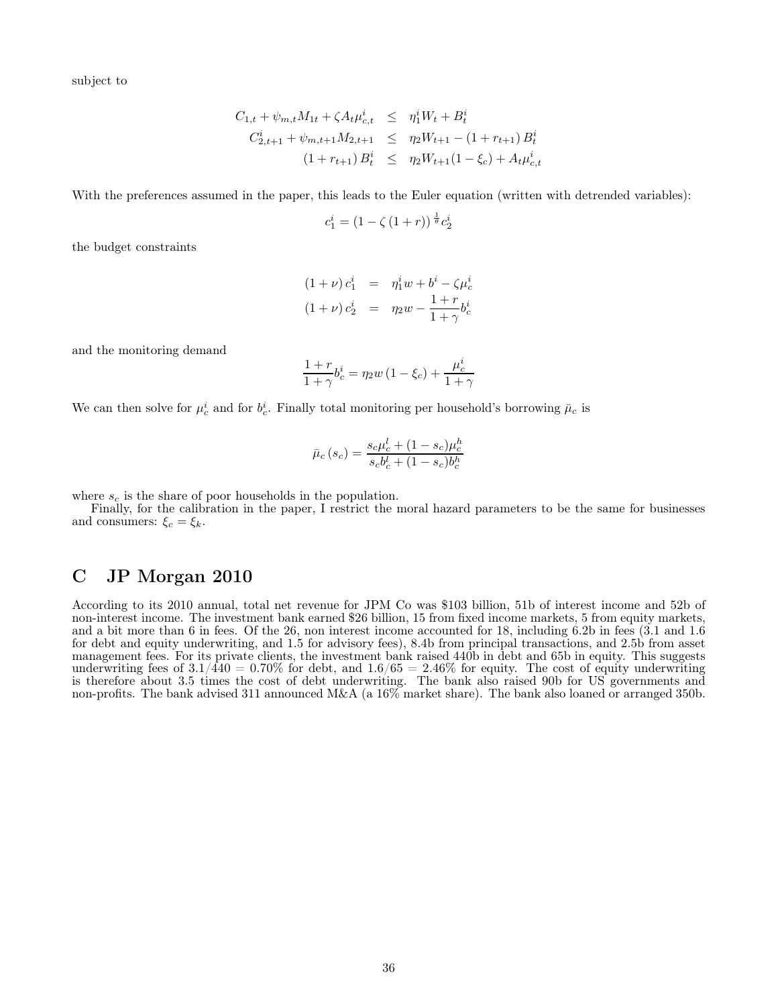subject to

$$
C_{1,t} + \psi_{m,t} M_{1t} + \zeta A_t \mu_{c,t}^i \leq \eta_1^i W_t + B_t^i
$$
  

$$
C_{2,t+1}^i + \psi_{m,t+1} M_{2,t+1} \leq \eta_2 W_{t+1} - (1 + r_{t+1}) B_t^i
$$
  

$$
(1 + r_{t+1}) B_t^i \leq \eta_2 W_{t+1} (1 - \xi_c) + A_t \mu_{c,t}^i
$$

With the preferences assumed in the paper, this leads to the Euler equation (written with detrended variables):

$$
c_1^i = (1 - \zeta (1+r))^{\frac{1}{\theta}} c_2^i
$$

the budget constraints

$$
(1 + \nu) c_1^i = \eta_1^i w + b^i - \zeta \mu_c^i
$$
  

$$
(1 + \nu) c_2^i = \eta_2 w - \frac{1 + r}{1 + \gamma} b_c^i
$$

and the monitoring demand

$$
\frac{1+r}{1+\gamma}b_c^i = \eta_2 w \left(1 - \xi_c\right) + \frac{\mu_c^i}{1+\gamma}
$$

We can then solve for  $\mu_c^i$  and for  $b_c^i$ . Finally total monitoring per household's borrowing  $\bar{\mu}_c$  is

$$
\bar{\mu}_c(s_c) = \frac{s_c \mu_c^l + (1 - s_c) \mu_c^h}{s_c b_c^l + (1 - s_c) b_c^h}
$$

where  $s_c$  is the share of poor households in the population.

Finally, for the calibration in the paper, I restrict the moral hazard parameters to be the same for businesses and consumers:  $\xi_c = \xi_k$ .

### C JP Morgan 2010

According to its 2010 annual, total net revenue for JPM Co was \$103 billion, 51b of interest income and 52b of non-interest income. The investment bank earned \$26 billion, 15 from fixed income markets, 5 from equity markets, and a bit more than 6 in fees. Of the 26, non interest income accounted for 18, including 6.2b in fees (3.1 and 1.6 for debt and equity underwriting, and 1.5 for advisory fees), 8.4b from principal transactions, and 2.5b from asset management fees. For its private clients, the investment bank raised 440b in debt and 65b in equity. This suggests underwriting fees of  $3.1/440 = 0.70\%$  for debt, and  $1.6/65 = 2.46\%$  for equity. The cost of equity underwriting is therefore about 3.5 times the cost of debt underwriting. The bank also raised 90b for US governments and non-profits. The bank advised 311 announced M&A (a 16% market share). The bank also loaned or arranged 350b.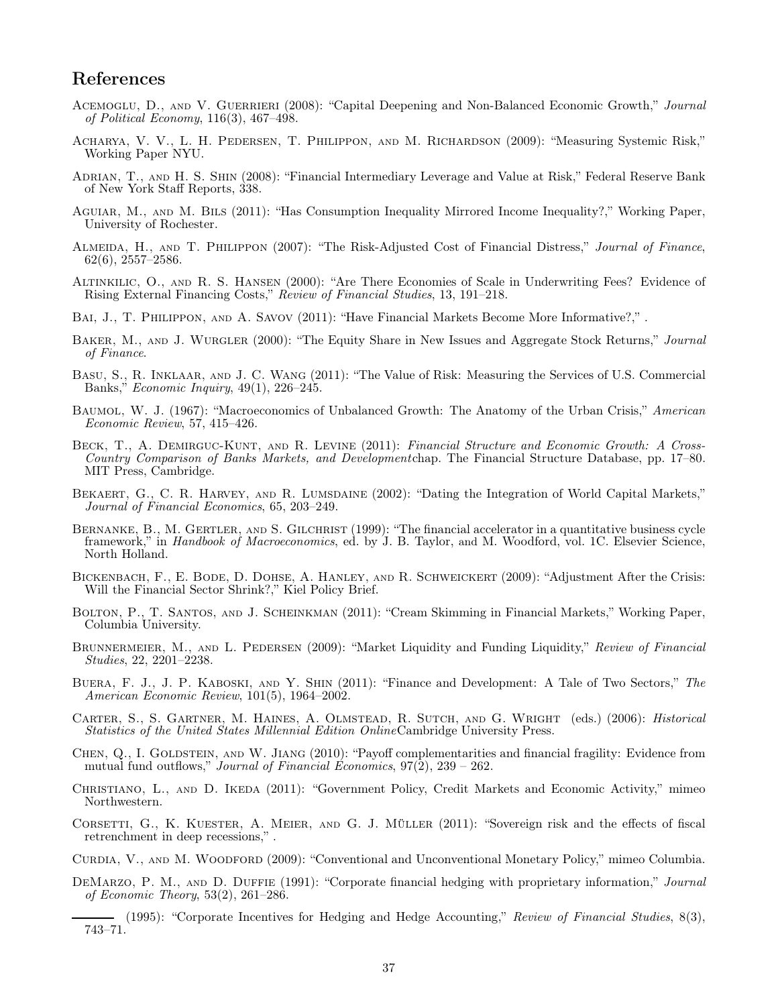### References

- ACEMOGLU, D., AND V. GUERRIERI (2008): "Capital Deepening and Non-Balanced Economic Growth," Journal of Political Economy, 116(3), 467–498.
- Acharya, V. V., L. H. Pedersen, T. Philippon, and M. Richardson (2009): "Measuring Systemic Risk," Working Paper NYU.
- Adrian, T., and H. S. Shin (2008): "Financial Intermediary Leverage and Value at Risk," Federal Reserve Bank of New York Staff Reports, 338.
- Aguiar, M., and M. Bils (2011): "Has Consumption Inequality Mirrored Income Inequality?," Working Paper, University of Rochester.
- ALMEIDA, H., AND T. PHILIPPON (2007): "The Risk-Adjusted Cost of Financial Distress," Journal of Finance,  $62(6)$ ,  $2557-2586$ .
- Altinkilic, O., and R. S. Hansen (2000): "Are There Economies of Scale in Underwriting Fees? Evidence of Rising External Financing Costs," Review of Financial Studies, 13, 191–218.
- BAI, J., T. PHILIPPON, AND A. SAVOV (2011): "Have Financial Markets Become More Informative?,".
- BAKER, M., AND J. WURGLER (2000): "The Equity Share in New Issues and Aggregate Stock Returns," Journal of Finance.
- Basu, S., R. Inklaar, and J. C. Wang (2011): "The Value of Risk: Measuring the Services of U.S. Commercial Banks," Economic Inquiry, 49(1), 226–245.
- Baumol, W. J. (1967): "Macroeconomics of Unbalanced Growth: The Anatomy of the Urban Crisis," American Economic Review, 57, 415–426.
- BECK, T., A. DEMIRGUC-KUNT, AND R. LEVINE (2011): Financial Structure and Economic Growth: A Cross-Country Comparison of Banks Markets, and Developmentchap. The Financial Structure Database, pp. 17–80. MIT Press, Cambridge.
- BEKAERT, G., C. R. HARVEY, AND R. LUMSDAINE (2002): "Dating the Integration of World Capital Markets," Journal of Financial Economics, 65, 203–249.
- BERNANKE, B., M. GERTLER, AND S. GILCHRIST (1999): "The financial accelerator in a quantitative business cycle framework," in Handbook of Macroeconomics, ed. by J. B. Taylor, and M. Woodford, vol. 1C. Elsevier Science, North Holland.
- Bickenbach, F., E. Bode, D. Dohse, A. Hanley, and R. Schweickert (2009): "Adjustment After the Crisis: Will the Financial Sector Shrink?," Kiel Policy Brief.
- Bolton, P., T. Santos, and J. Scheinkman (2011): "Cream Skimming in Financial Markets," Working Paper, Columbia University.
- BRUNNERMEIER, M., AND L. PEDERSEN (2009): "Market Liquidity and Funding Liquidity," Review of Financial Studies, 22, 2201–2238.
- Buera, F. J., J. P. Kaboski, and Y. Shin (2011): "Finance and Development: A Tale of Two Sectors," The American Economic Review, 101(5), 1964–2002.
- Carter, S., S. Gartner, M. Haines, A. Olmstead, R. Sutch, and G. Wright (eds.) (2006): Historical Statistics of the United States Millennial Edition OnlineCambridge University Press.
- CHEN, Q., I. GOLDSTEIN, AND W. JIANG (2010): "Payoff complementarities and financial fragility: Evidence from mutual fund outflows," Journal of Financial Economics,  $97(2)$ ,  $239 - 262$ .
- CHRISTIANO, L., AND D. IKEDA (2011): "Government Policy, Credit Markets and Economic Activity," mimeo Northwestern.
- Corsetti, G., K. Kuester, A. Meier, and G. J. Müller (2011): "Sovereign risk and the effects of fiscal retrenchment in deep recessions," .
- CURDIA, V., AND M. WOODFORD (2009): "Conventional and Unconventional Monetary Policy," mimeo Columbia.
- DEMARZO, P. M., AND D. DUFFIE (1991): "Corporate financial hedging with proprietary information," Journal of Economic Theory, 53(2), 261–286.
- (1995): "Corporate Incentives for Hedging and Hedge Accounting," Review of Financial Studies, 8(3), 743–71.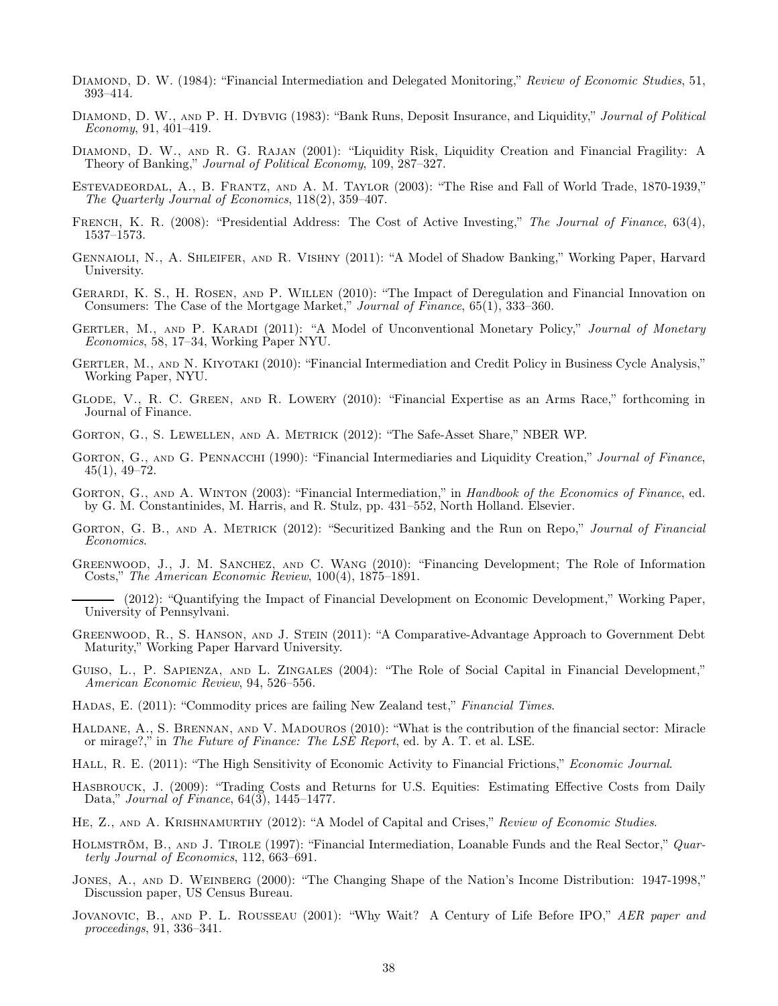- DIAMOND, D. W. (1984): "Financial Intermediation and Delegated Monitoring," Review of Economic Studies, 51, 393–414.
- DIAMOND, D. W., AND P. H. DYBVIG (1983): "Bank Runs, Deposit Insurance, and Liquidity," Journal of Political Economy, 91, 401–419.
- Diamond, D. W., and R. G. Rajan (2001): "Liquidity Risk, Liquidity Creation and Financial Fragility: A Theory of Banking," Journal of Political Economy, 109, 287–327.
- Estevadeordal, A., B. Frantz, and A. M. Taylor (2003): "The Rise and Fall of World Trade, 1870-1939," The Quarterly Journal of Economics, 118(2), 359–407.
- FRENCH, K. R. (2008): "Presidential Address: The Cost of Active Investing," The Journal of Finance, 63(4), 1537–1573.
- Gennaioli, N., A. Shleifer, and R. Vishny (2011): "A Model of Shadow Banking," Working Paper, Harvard University.
- Gerardi, K. S., H. Rosen, and P. Willen (2010): "The Impact of Deregulation and Financial Innovation on Consumers: The Case of the Mortgage Market," Journal of Finance, 65(1), 333–360.
- GERTLER, M., AND P. KARADI (2011): "A Model of Unconventional Monetary Policy," Journal of Monetary Economics, 58, 17–34, Working Paper NYU.
- GERTLER, M., AND N. KIYOTAKI (2010): "Financial Intermediation and Credit Policy in Business Cycle Analysis," Working Paper, NYU.
- Glode, V., R. C. Green, and R. Lowery (2010): "Financial Expertise as an Arms Race," forthcoming in Journal of Finance.
- Gorton, G., S. Lewellen, and A. Metrick (2012): "The Safe-Asset Share," NBER WP.
- GORTON, G., AND G. PENNACCHI (1990): "Financial Intermediaries and Liquidity Creation," Journal of Finance,  $45(1), 49-72.$
- GORTON, G., AND A. WINTON (2003): "Financial Intermediation," in Handbook of the Economics of Finance, ed. by G. M. Constantinides, M. Harris, and R. Stulz, pp. 431–552, North Holland. Elsevier.
- GORTON, G. B., AND A. METRICK (2012): "Securitized Banking and the Run on Repo," Journal of Financial Economics.
- GREENWOOD, J., J. M. SANCHEZ, AND C. WANG (2010): "Financing Development; The Role of Information Costs," The American Economic Review, 100(4), 1875–1891.
- (2012): "Quantifying the Impact of Financial Development on Economic Development," Working Paper, University of Pennsylvani.
- Greenwood, R., S. Hanson, and J. Stein (2011): "A Comparative-Advantage Approach to Government Debt Maturity," Working Paper Harvard University.
- GUISO, L., P. SAPIENZA, AND L. ZINGALES (2004): "The Role of Social Capital in Financial Development," American Economic Review, 94, 526–556.
- HADAS, E. (2011): "Commodity prices are failing New Zealand test," Financial Times.
- Haldane, A., S. Brennan, and V. Madouros (2010): "What is the contribution of the financial sector: Miracle or mirage?," in The Future of Finance: The LSE Report, ed. by A. T. et al. LSE.
- HALL, R. E. (2011): "The High Sensitivity of Economic Activity to Financial Frictions," Economic Journal.
- Hasbrouck, J. (2009): "Trading Costs and Returns for U.S. Equities: Estimating Effective Costs from Daily Data," Journal of Finance, 64(3), 1445–1477.
- HE, Z., AND A. KRISHNAMURTHY (2012): "A Model of Capital and Crises," Review of Economic Studies.
- HOLMSTRÖM, B., AND J. TIROLE (1997): "Financial Intermediation, Loanable Funds and the Real Sector," Quarterly Journal of Economics, 112, 663–691.
- JONES, A., AND D. WEINBERG (2000): "The Changing Shape of the Nation's Income Distribution: 1947-1998," Discussion paper, US Census Bureau.
- JOVANOVIC, B., AND P. L. ROUSSEAU (2001): "Why Wait? A Century of Life Before IPO," AER paper and proceedings, 91, 336–341.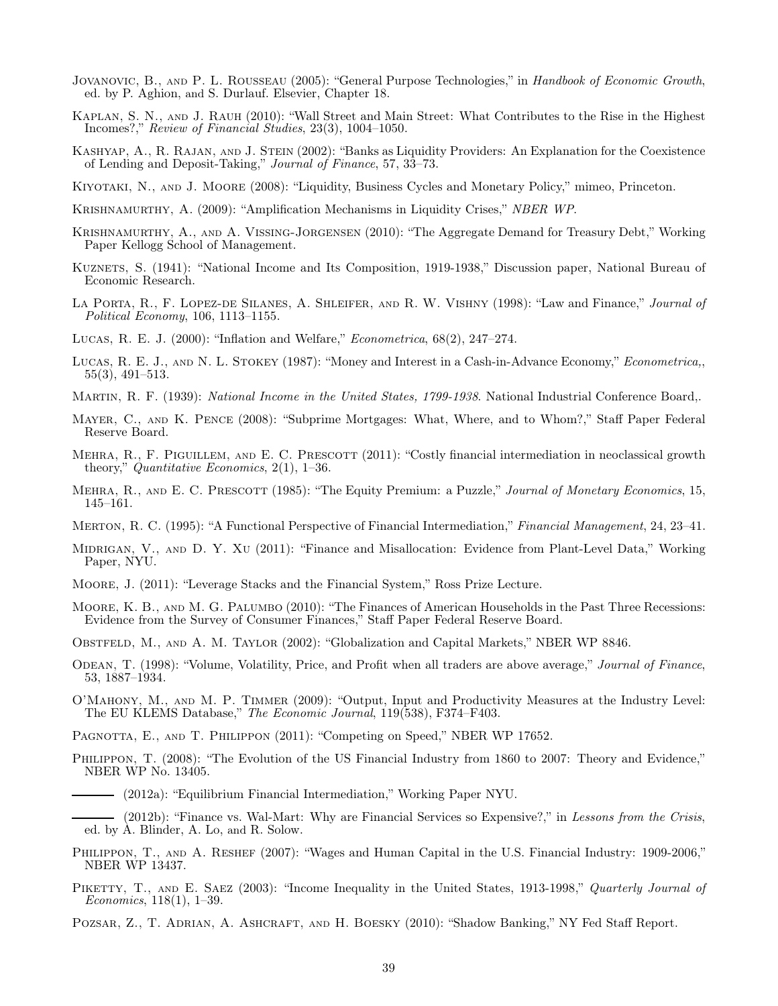- Jovanovic, B., and P. L. Rousseau (2005): "General Purpose Technologies," in Handbook of Economic Growth, ed. by P. Aghion, and S. Durlauf. Elsevier, Chapter 18.
- Kaplan, S. N., and J. Rauh (2010): "Wall Street and Main Street: What Contributes to the Rise in the Highest Incomes?," Review of Financial Studies, 23(3), 1004–1050.
- KASHYAP, A., R. RAJAN, AND J. STEIN (2002): "Banks as Liquidity Providers: An Explanation for the Coexistence of Lending and Deposit-Taking," Journal of Finance, 57, 33–73.
- Kiyotaki, N., and J. Moore (2008): "Liquidity, Business Cycles and Monetary Policy," mimeo, Princeton.
- Krishnamurthy, A. (2009): "Amplification Mechanisms in Liquidity Crises," NBER WP.
- Krishnamurthy, A., and A. Vissing-Jorgensen (2010): "The Aggregate Demand for Treasury Debt," Working Paper Kellogg School of Management.
- Kuznets, S. (1941): "National Income and Its Composition, 1919-1938," Discussion paper, National Bureau of Economic Research.
- LA PORTA, R., F. LOPEZ-DE SILANES, A. SHLEIFER, AND R. W. VISHNY (1998): "Law and Finance," Journal of Political Economy, 106, 1113–1155.
- Lucas, R. E. J. (2000): "Inflation and Welfare," Econometrica, 68(2), 247–274.
- Lucas, R. E. J., and N. L. Stokey (1987): "Money and Interest in a Cash-in-Advance Economy," Econometrica,, 55(3), 491–513.
- MARTIN, R. F. (1939): *National Income in the United States, 1799-1938*. National Industrial Conference Board,.
- Mayer, C., and K. Pence (2008): "Subprime Mortgages: What, Where, and to Whom?," Staff Paper Federal Reserve Board.
- MEHRA, R., F. PIGUILLEM, AND E. C. PRESCOTT (2011): "Costly financial intermediation in neoclassical growth theory," Quantitative Economics,  $2(1)$ , 1–36.
- MEHRA, R., AND E. C. PRESCOTT (1985): "The Equity Premium: a Puzzle," Journal of Monetary Economics, 15, 145–161.
- Merton, R. C. (1995): "A Functional Perspective of Financial Intermediation," Financial Management, 24, 23–41.
- Midrigan, V., and D. Y. Xu (2011): "Finance and Misallocation: Evidence from Plant-Level Data," Working Paper, NYU.
- Moore, J. (2011): "Leverage Stacks and the Financial System," Ross Prize Lecture.
- Moore, K. B., and M. G. Palumbo (2010): "The Finances of American Households in the Past Three Recessions: Evidence from the Survey of Consumer Finances," Staff Paper Federal Reserve Board.
- Obstfeld, M., and A. M. Taylor (2002): "Globalization and Capital Markets," NBER WP 8846.
- ODEAN, T. (1998): "Volume, Volatility, Price, and Profit when all traders are above average," Journal of Finance, 53, 1887–1934.
- O'Mahony, M., and M. P. Timmer (2009): "Output, Input and Productivity Measures at the Industry Level: The EU KLEMS Database," The Economic Journal, 119(538), F374–F403.
- PAGNOTTA, E., AND T. PHILIPPON (2011): "Competing on Speed," NBER WP 17652.
- PHILIPPON, T. (2008): "The Evolution of the US Financial Industry from 1860 to 2007: Theory and Evidence," NBER WP No. 13405.
	- (2012a): "Equilibrium Financial Intermediation," Working Paper NYU.
- (2012b): "Finance vs. Wal-Mart: Why are Financial Services so Expensive?," in Lessons from the Crisis, ed. by A. Blinder, A. Lo, and R. Solow.
- PHILIPPON, T., AND A. RESHEF (2007): "Wages and Human Capital in the U.S. Financial Industry: 1909-2006," NBER WP 13437.
- PIKETTY, T., AND E. SAEZ (2003): "Income Inequality in the United States, 1913-1998," Quarterly Journal of Economics, 118(1), 1–39.
- POZSAR, Z., T. ADRIAN, A. ASHCRAFT, AND H. BOESKY (2010): "Shadow Banking," NY Fed Staff Report.